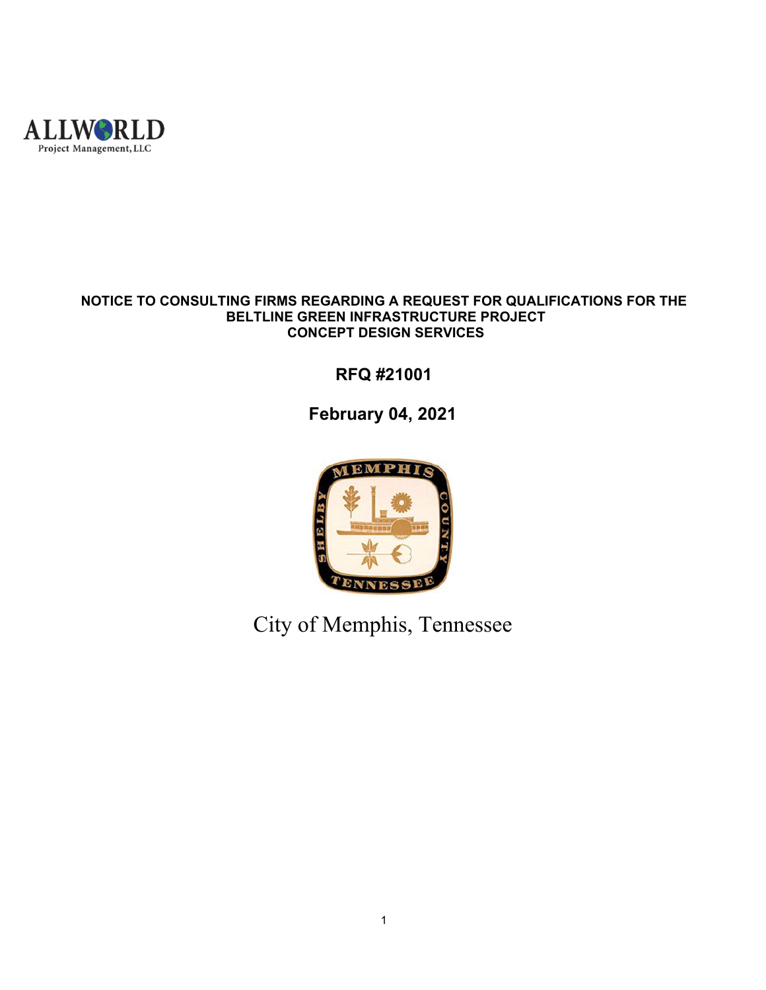

#### **NOTICE TO CONSULTING FIRMS REGARDING A REQUEST FOR QUALIFICATIONS FOR THE BELTLINE GREEN INFRASTRUCTURE PROJECT CONCEPT DESIGN SERVICES**

# **RFQ #21001**

# **February 04, 2021**



City of Memphis, Tennessee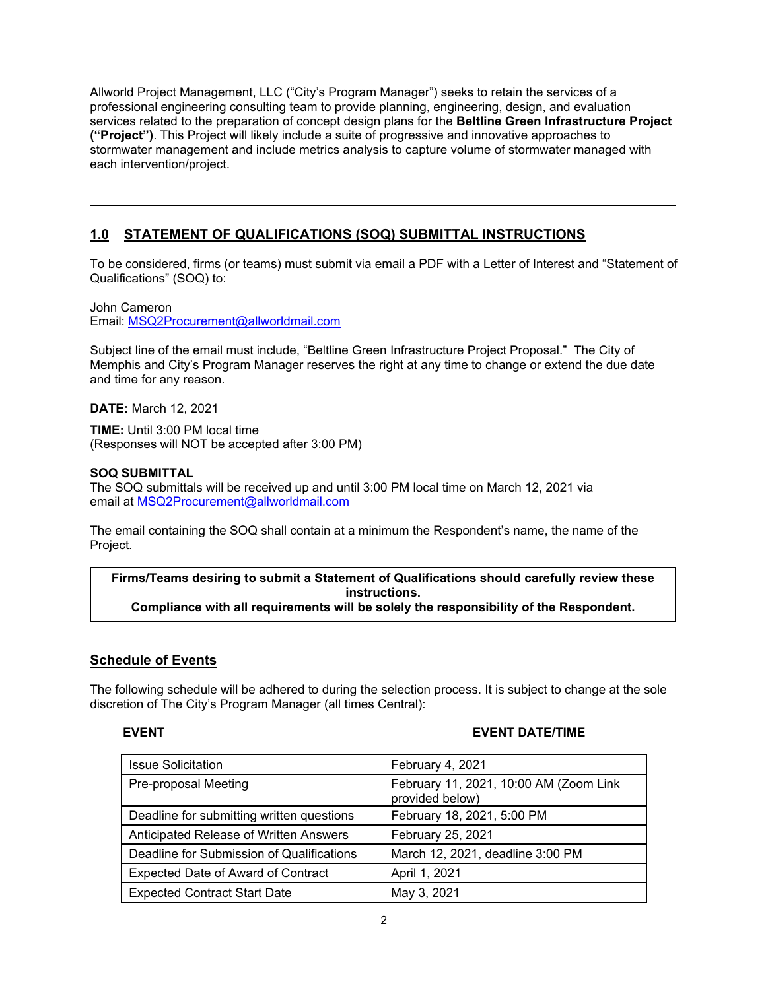Allworld Project Management, LLC ("City's Program Manager") seeks to retain the services of a professional engineering consulting team to provide planning, engineering, design, and evaluation services related to the preparation of concept design plans for the **Beltline Green Infrastructure Project ("Project")**. This Project will likely include a suite of progressive and innovative approaches to stormwater management and include metrics analysis to capture volume of stormwater managed with each intervention/project.

### **1.0 STATEMENT OF QUALIFICATIONS (SOQ) SUBMITTAL INSTRUCTIONS**

To be considered, firms (or teams) must submit via email a PDF with a Letter of Interest and "Statement of Qualifications" (SOQ) to:

John Cameron Email: MSQ2Procurement@allworldmail.com

Subject line of the email must include, "Beltline Green Infrastructure Project Proposal." The City of Memphis and City's Program Manager reserves the right at any time to change or extend the due date and time for any reason.

**DATE:** March 12, 2021

**TIME:** Until 3:00 PM local time (Responses will NOT be accepted after 3:00 PM)

#### **SOQ SUBMITTAL**

The SOQ submittals will be received up and until 3:00 PM local time on March 12, 2021 via email at MSQ2Procurement@allworldmail.com

The email containing the SOQ shall contain at a minimum the Respondent's name, the name of the Project.

**Firms/Teams desiring to submit a Statement of Qualifications should carefully review these instructions. Compliance with all requirements will be solely the responsibility of the Respondent.** 

#### **Schedule of Events**

The following schedule will be adhered to during the selection process. It is subject to change at the sole discretion of The City's Program Manager (all times Central):

#### **EVENT EVENT DATE/TIME**

| <b>Issue Solicitation</b>                 | February 4, 2021                                          |
|-------------------------------------------|-----------------------------------------------------------|
| Pre-proposal Meeting                      | February 11, 2021, 10:00 AM (Zoom Link<br>provided below) |
| Deadline for submitting written questions | February 18, 2021, 5:00 PM                                |
| Anticipated Release of Written Answers    | February 25, 2021                                         |
| Deadline for Submission of Qualifications | March 12, 2021, deadline 3:00 PM                          |
| <b>Expected Date of Award of Contract</b> | April 1, 2021                                             |
| <b>Expected Contract Start Date</b>       | May 3, 2021                                               |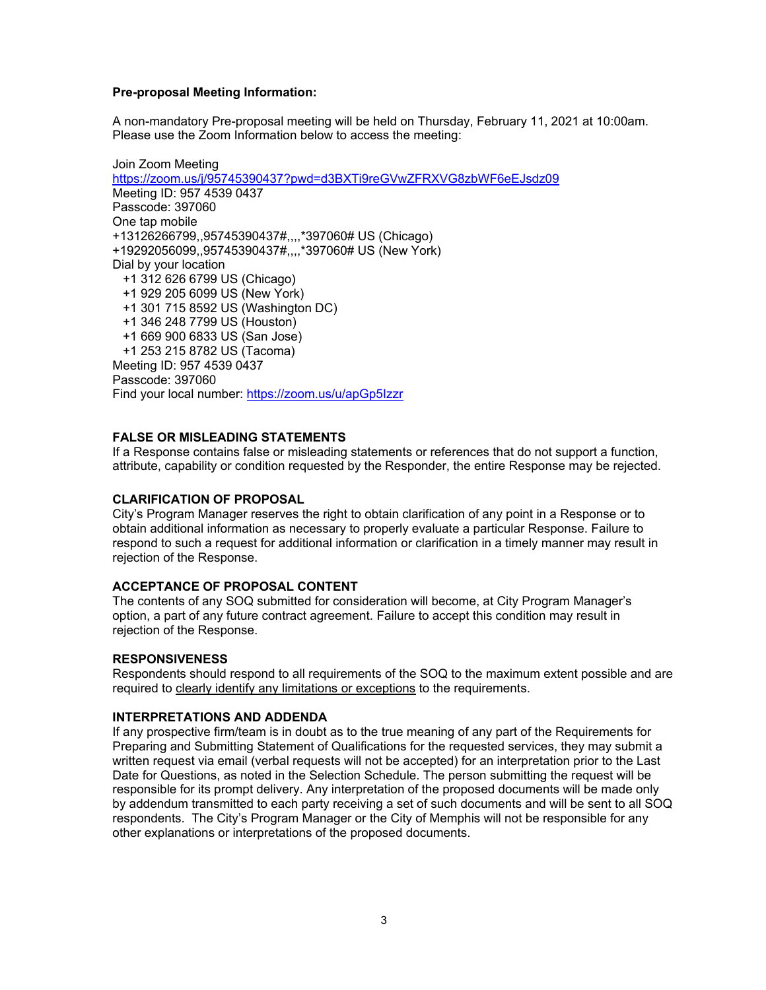#### **Pre-proposal Meeting Information:**

A non-mandatory Pre-proposal meeting will be held on Thursday, February 11, 2021 at 10:00am. Please use the Zoom Information below to access the meeting:

Join Zoom Meeting https://zoom.us/j/95745390437?pwd=d3BXTi9reGVwZFRXVG8zbWF6eEJsdz09 Meeting ID: 957 4539 0437 Passcode: 397060 One tap mobile +13126266799,,95745390437#,,,,\*397060# US (Chicago) +19292056099,,95745390437#,,,,\*397060# US (New York) Dial by your location +1 312 626 6799 US (Chicago) +1 929 205 6099 US (New York) +1 301 715 8592 US (Washington DC) +1 346 248 7799 US (Houston) +1 669 900 6833 US (San Jose) +1 253 215 8782 US (Tacoma) Meeting ID: 957 4539 0437 Passcode: 397060 Find your local number: https://zoom.us/u/apGp5Izzr

#### **FALSE OR MISLEADING STATEMENTS**

If a Response contains false or misleading statements or references that do not support a function, attribute, capability or condition requested by the Responder, the entire Response may be rejected.

#### **CLARIFICATION OF PROPOSAL**

City's Program Manager reserves the right to obtain clarification of any point in a Response or to obtain additional information as necessary to properly evaluate a particular Response. Failure to respond to such a request for additional information or clarification in a timely manner may result in rejection of the Response.

#### **ACCEPTANCE OF PROPOSAL CONTENT**

The contents of any SOQ submitted for consideration will become, at City Program Manager's option, a part of any future contract agreement. Failure to accept this condition may result in rejection of the Response.

#### **RESPONSIVENESS**

Respondents should respond to all requirements of the SOQ to the maximum extent possible and are required to clearly identify any limitations or exceptions to the requirements.

#### **INTERPRETATIONS AND ADDENDA**

If any prospective firm/team is in doubt as to the true meaning of any part of the Requirements for Preparing and Submitting Statement of Qualifications for the requested services, they may submit a written request via email (verbal requests will not be accepted) for an interpretation prior to the Last Date for Questions, as noted in the Selection Schedule. The person submitting the request will be responsible for its prompt delivery. Any interpretation of the proposed documents will be made only by addendum transmitted to each party receiving a set of such documents and will be sent to all SOQ respondents. The City's Program Manager or the City of Memphis will not be responsible for any other explanations or interpretations of the proposed documents.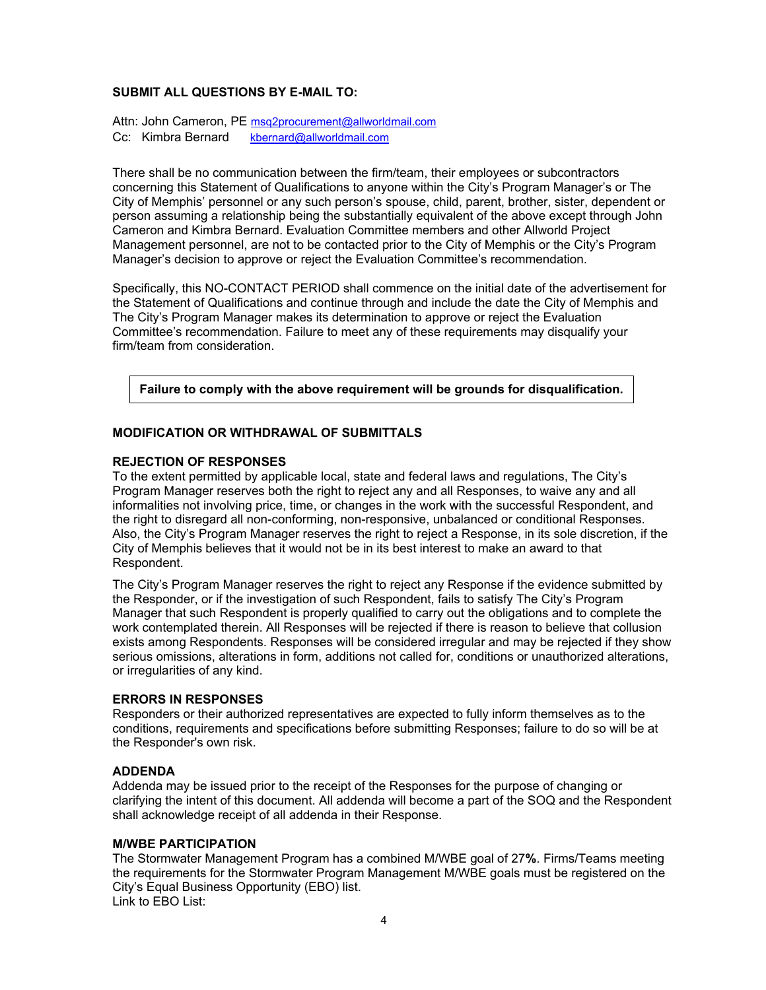#### **SUBMIT ALL QUESTIONS BY E-MAIL TO:**

Attn: John Cameron, PE msq2procurement@allworldmail.com Cc: Kimbra Bernard kbernard@allworldmail.com

There shall be no communication between the firm/team, their employees or subcontractors concerning this Statement of Qualifications to anyone within the City's Program Manager's or The City of Memphis' personnel or any such person's spouse, child, parent, brother, sister, dependent or person assuming a relationship being the substantially equivalent of the above except through John Cameron and Kimbra Bernard. Evaluation Committee members and other Allworld Project Management personnel, are not to be contacted prior to the City of Memphis or the City's Program Manager's decision to approve or reject the Evaluation Committee's recommendation.

Specifically, this NO-CONTACT PERIOD shall commence on the initial date of the advertisement for the Statement of Qualifications and continue through and include the date the City of Memphis and The City's Program Manager makes its determination to approve or reject the Evaluation Committee's recommendation. Failure to meet any of these requirements may disqualify your firm/team from consideration.

**Failure to comply with the above requirement will be grounds for disqualification.** 

#### **MODIFICATION OR WITHDRAWAL OF SUBMITTALS**

#### **REJECTION OF RESPONSES**

To the extent permitted by applicable local, state and federal laws and regulations, The City's Program Manager reserves both the right to reject any and all Responses, to waive any and all informalities not involving price, time, or changes in the work with the successful Respondent, and the right to disregard all non-conforming, non-responsive, unbalanced or conditional Responses. Also, the City's Program Manager reserves the right to reject a Response, in its sole discretion, if the City of Memphis believes that it would not be in its best interest to make an award to that Respondent.

The City's Program Manager reserves the right to reject any Response if the evidence submitted by the Responder, or if the investigation of such Respondent, fails to satisfy The City's Program Manager that such Respondent is properly qualified to carry out the obligations and to complete the work contemplated therein. All Responses will be rejected if there is reason to believe that collusion exists among Respondents. Responses will be considered irregular and may be rejected if they show serious omissions, alterations in form, additions not called for, conditions or unauthorized alterations, or irregularities of any kind.

#### **ERRORS IN RESPONSES**

Responders or their authorized representatives are expected to fully inform themselves as to the conditions, requirements and specifications before submitting Responses; failure to do so will be at the Responder's own risk.

#### **ADDENDA**

Addenda may be issued prior to the receipt of the Responses for the purpose of changing or clarifying the intent of this document. All addenda will become a part of the SOQ and the Respondent shall acknowledge receipt of all addenda in their Response.

#### **M/WBE PARTICIPATION**

The Stormwater Management Program has a combined M/WBE goal of 27**%**. Firms/Teams meeting the requirements for the Stormwater Program Management M/WBE goals must be registered on the City's Equal Business Opportunity (EBO) list. Link to EBO List: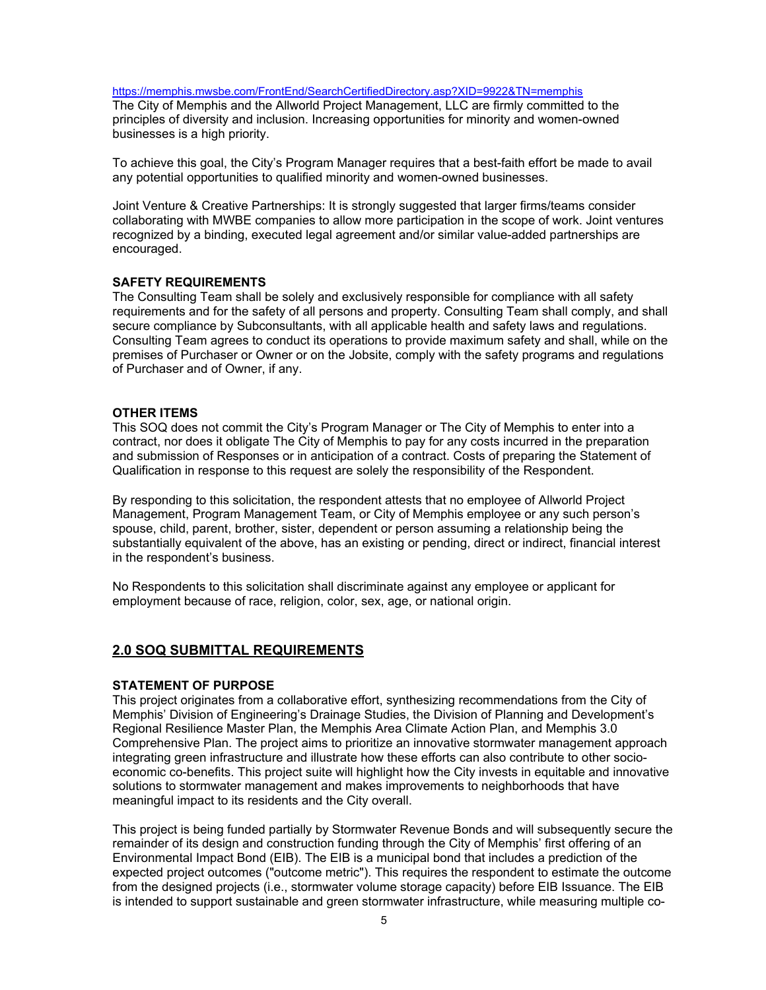https://memphis.mwsbe.com/FrontEnd/SearchCertifiedDirectory.asp?XID=9922&TN=memphis

The City of Memphis and the Allworld Project Management, LLC are firmly committed to the principles of diversity and inclusion. Increasing opportunities for minority and women-owned businesses is a high priority.

To achieve this goal, the City's Program Manager requires that a best-faith effort be made to avail any potential opportunities to qualified minority and women-owned businesses.

Joint Venture & Creative Partnerships: It is strongly suggested that larger firms/teams consider collaborating with MWBE companies to allow more participation in the scope of work. Joint ventures recognized by a binding, executed legal agreement and/or similar value-added partnerships are encouraged.

#### **SAFETY REQUIREMENTS**

The Consulting Team shall be solely and exclusively responsible for compliance with all safety requirements and for the safety of all persons and property. Consulting Team shall comply, and shall secure compliance by Subconsultants, with all applicable health and safety laws and regulations. Consulting Team agrees to conduct its operations to provide maximum safety and shall, while on the premises of Purchaser or Owner or on the Jobsite, comply with the safety programs and regulations of Purchaser and of Owner, if any.

#### **OTHER ITEMS**

This SOQ does not commit the City's Program Manager or The City of Memphis to enter into a contract, nor does it obligate The City of Memphis to pay for any costs incurred in the preparation and submission of Responses or in anticipation of a contract. Costs of preparing the Statement of Qualification in response to this request are solely the responsibility of the Respondent.

By responding to this solicitation, the respondent attests that no employee of Allworld Project Management, Program Management Team, or City of Memphis employee or any such person's spouse, child, parent, brother, sister, dependent or person assuming a relationship being the substantially equivalent of the above, has an existing or pending, direct or indirect, financial interest in the respondent's business.

No Respondents to this solicitation shall discriminate against any employee or applicant for employment because of race, religion, color, sex, age, or national origin.

#### **2.0 SOQ SUBMITTAL REQUIREMENTS**

#### **STATEMENT OF PURPOSE**

This project originates from a collaborative effort, synthesizing recommendations from the City of Memphis' Division of Engineering's Drainage Studies, the Division of Planning and Development's Regional Resilience Master Plan, the Memphis Area Climate Action Plan, and Memphis 3.0 Comprehensive Plan. The project aims to prioritize an innovative stormwater management approach integrating green infrastructure and illustrate how these efforts can also contribute to other socioeconomic co-benefits. This project suite will highlight how the City invests in equitable and innovative solutions to stormwater management and makes improvements to neighborhoods that have meaningful impact to its residents and the City overall.

This project is being funded partially by Stormwater Revenue Bonds and will subsequently secure the remainder of its design and construction funding through the City of Memphis' first offering of an Environmental Impact Bond (EIB). The EIB is a municipal bond that includes a prediction of the expected project outcomes ("outcome metric"). This requires the respondent to estimate the outcome from the designed projects (i.e., stormwater volume storage capacity) before EIB Issuance. The EIB is intended to support sustainable and green stormwater infrastructure, while measuring multiple co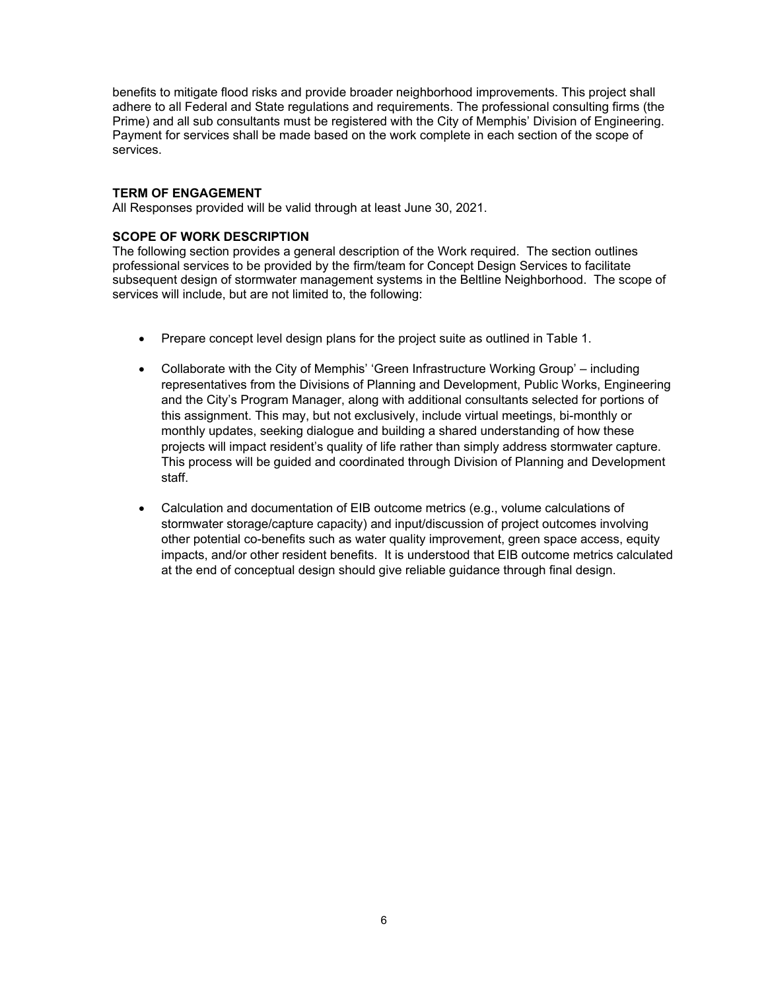benefits to mitigate flood risks and provide broader neighborhood improvements. This project shall adhere to all Federal and State regulations and requirements. The professional consulting firms (the Prime) and all sub consultants must be registered with the City of Memphis' Division of Engineering. Payment for services shall be made based on the work complete in each section of the scope of services.

#### **TERM OF ENGAGEMENT**

All Responses provided will be valid through at least June 30, 2021.

#### **SCOPE OF WORK DESCRIPTION**

The following section provides a general description of the Work required. The section outlines professional services to be provided by the firm/team for Concept Design Services to facilitate subsequent design of stormwater management systems in the Beltline Neighborhood. The scope of services will include, but are not limited to, the following:

- Prepare concept level design plans for the project suite as outlined in Table 1.
- Collaborate with the City of Memphis' 'Green Infrastructure Working Group' including representatives from the Divisions of Planning and Development, Public Works, Engineering and the City's Program Manager, along with additional consultants selected for portions of this assignment. This may, but not exclusively, include virtual meetings, bi-monthly or monthly updates, seeking dialogue and building a shared understanding of how these projects will impact resident's quality of life rather than simply address stormwater capture. This process will be guided and coordinated through Division of Planning and Development staff.
- Calculation and documentation of EIB outcome metrics (e.g., volume calculations of stormwater storage/capture capacity) and input/discussion of project outcomes involving other potential co-benefits such as water quality improvement, green space access, equity impacts, and/or other resident benefits. It is understood that EIB outcome metrics calculated at the end of conceptual design should give reliable guidance through final design.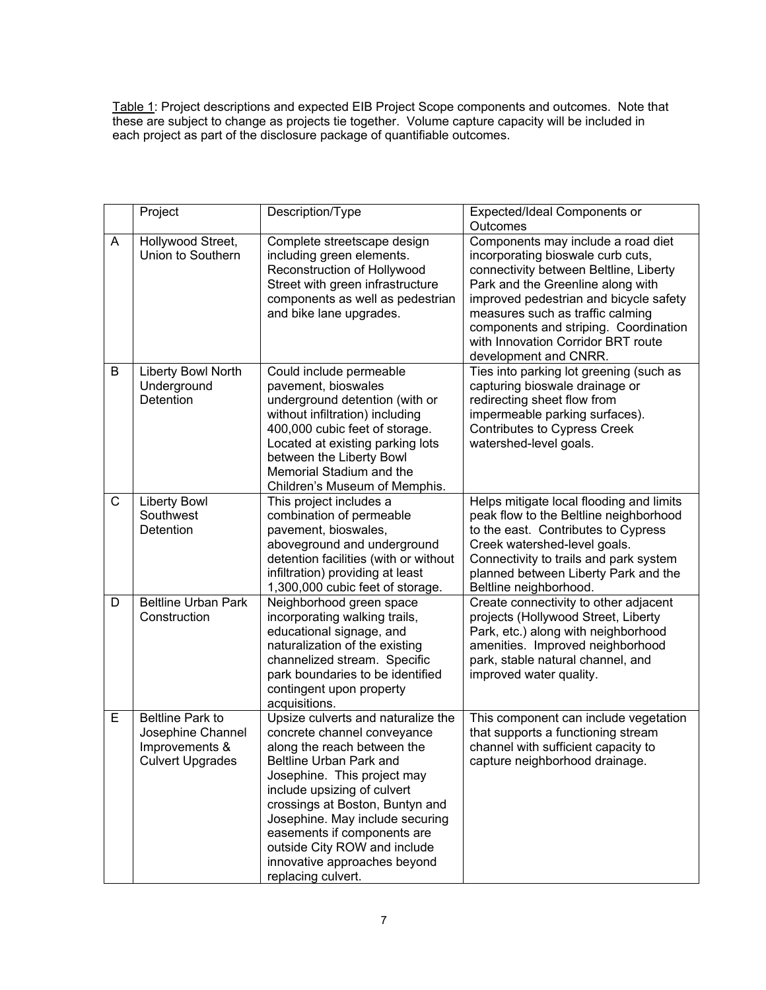Table 1: Project descriptions and expected EIB Project Scope components and outcomes. Note that these are subject to change as projects tie together. Volume capture capacity will be included in each project as part of the disclosure package of quantifiable outcomes.

|   | Project                                                                                   | Description/Type                                                                                                                                                                                                                                                                                                                                                                     | Expected/Ideal Components or                                                                                                                                                                                                                                                                                                                 |
|---|-------------------------------------------------------------------------------------------|--------------------------------------------------------------------------------------------------------------------------------------------------------------------------------------------------------------------------------------------------------------------------------------------------------------------------------------------------------------------------------------|----------------------------------------------------------------------------------------------------------------------------------------------------------------------------------------------------------------------------------------------------------------------------------------------------------------------------------------------|
|   |                                                                                           |                                                                                                                                                                                                                                                                                                                                                                                      | Outcomes                                                                                                                                                                                                                                                                                                                                     |
| A | Hollywood Street,<br>Union to Southern                                                    | Complete streetscape design<br>including green elements.<br>Reconstruction of Hollywood<br>Street with green infrastructure<br>components as well as pedestrian<br>and bike lane upgrades.                                                                                                                                                                                           | Components may include a road diet<br>incorporating bioswale curb cuts,<br>connectivity between Beltline, Liberty<br>Park and the Greenline along with<br>improved pedestrian and bicycle safety<br>measures such as traffic calming<br>components and striping. Coordination<br>with Innovation Corridor BRT route<br>development and CNRR. |
| В | Liberty Bowl North<br>Underground<br>Detention                                            | Could include permeable<br>pavement, bioswales<br>underground detention (with or<br>without infiltration) including<br>400,000 cubic feet of storage.<br>Located at existing parking lots<br>between the Liberty Bowl<br>Memorial Stadium and the<br>Children's Museum of Memphis.                                                                                                   | Ties into parking lot greening (such as<br>capturing bioswale drainage or<br>redirecting sheet flow from<br>impermeable parking surfaces).<br><b>Contributes to Cypress Creek</b><br>watershed-level goals.                                                                                                                                  |
| C | <b>Liberty Bowl</b><br>Southwest<br>Detention                                             | This project includes a<br>combination of permeable<br>pavement, bioswales,<br>aboveground and underground<br>detention facilities (with or without<br>infiltration) providing at least<br>1,300,000 cubic feet of storage.                                                                                                                                                          | Helps mitigate local flooding and limits<br>peak flow to the Beltline neighborhood<br>to the east. Contributes to Cypress<br>Creek watershed-level goals.<br>Connectivity to trails and park system<br>planned between Liberty Park and the<br>Beltline neighborhood.                                                                        |
| D | <b>Beltline Urban Park</b><br>Construction                                                | Neighborhood green space<br>incorporating walking trails,<br>educational signage, and<br>naturalization of the existing<br>channelized stream. Specific<br>park boundaries to be identified<br>contingent upon property<br>acquisitions.                                                                                                                                             | Create connectivity to other adjacent<br>projects (Hollywood Street, Liberty<br>Park, etc.) along with neighborhood<br>amenities. Improved neighborhood<br>park, stable natural channel, and<br>improved water quality.                                                                                                                      |
| E | <b>Beltline Park to</b><br>Josephine Channel<br>Improvements &<br><b>Culvert Upgrades</b> | Upsize culverts and naturalize the<br>concrete channel conveyance<br>along the reach between the<br>Beltline Urban Park and<br>Josephine. This project may<br>include upsizing of culvert<br>crossings at Boston, Buntyn and<br>Josephine. May include securing<br>easements if components are<br>outside City ROW and include<br>innovative approaches beyond<br>replacing culvert. | This component can include vegetation<br>that supports a functioning stream<br>channel with sufficient capacity to<br>capture neighborhood drainage                                                                                                                                                                                          |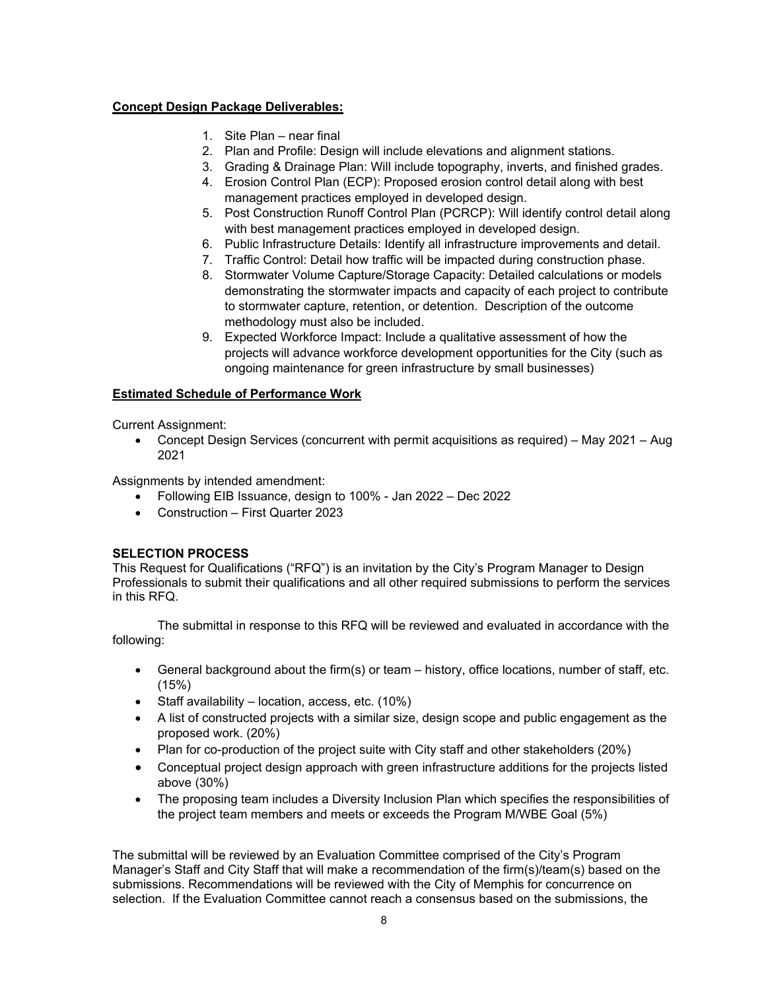#### **Concept Design Package Deliverables:**

- 1. Site Plan near final
- 2. Plan and Profile: Design will include elevations and alignment stations.
- 3. Grading & Drainage Plan: Will include topography, inverts, and finished grades.
- 4. Erosion Control Plan (ECP): Proposed erosion control detail along with best management practices employed in developed design.
- 5. Post Construction Runoff Control Plan (PCRCP): Will identify control detail along with best management practices employed in developed design.
- 6. Public Infrastructure Details: Identify all infrastructure improvements and detail.
- 7. Traffic Control: Detail how traffic will be impacted during construction phase.
- 8. Stormwater Volume Capture/Storage Capacity: Detailed calculations or models demonstrating the stormwater impacts and capacity of each project to contribute to stormwater capture, retention, or detention. Description of the outcome methodology must also be included.
- 9. Expected Workforce Impact: Include a qualitative assessment of how the projects will advance workforce development opportunities for the City (such as ongoing maintenance for green infrastructure by small businesses)

#### **Estimated Schedule of Performance Work**

Current Assignment:

 Concept Design Services (concurrent with permit acquisitions as required) – May 2021 – Aug 2021

Assignments by intended amendment:

- Following EIB Issuance, design to 100% Jan 2022 Dec 2022
- Construction First Quarter 2023

#### **SELECTION PROCESS**

This Request for Qualifications ("RFQ") is an invitation by the City's Program Manager to Design Professionals to submit their qualifications and all other required submissions to perform the services in this RFQ.

The submittal in response to this RFQ will be reviewed and evaluated in accordance with the following:

- General background about the firm(s) or team history, office locations, number of staff, etc. (15%)
- Staff availability location, access, etc. (10%)
- A list of constructed projects with a similar size, design scope and public engagement as the proposed work. (20%)
- Plan for co-production of the project suite with City staff and other stakeholders (20%)
- Conceptual project design approach with green infrastructure additions for the projects listed above (30%)
- The proposing team includes a Diversity Inclusion Plan which specifies the responsibilities of the project team members and meets or exceeds the Program M/WBE Goal (5%)

The submittal will be reviewed by an Evaluation Committee comprised of the City's Program Manager's Staff and City Staff that will make a recommendation of the firm(s)/team(s) based on the submissions. Recommendations will be reviewed with the City of Memphis for concurrence on selection. If the Evaluation Committee cannot reach a consensus based on the submissions, the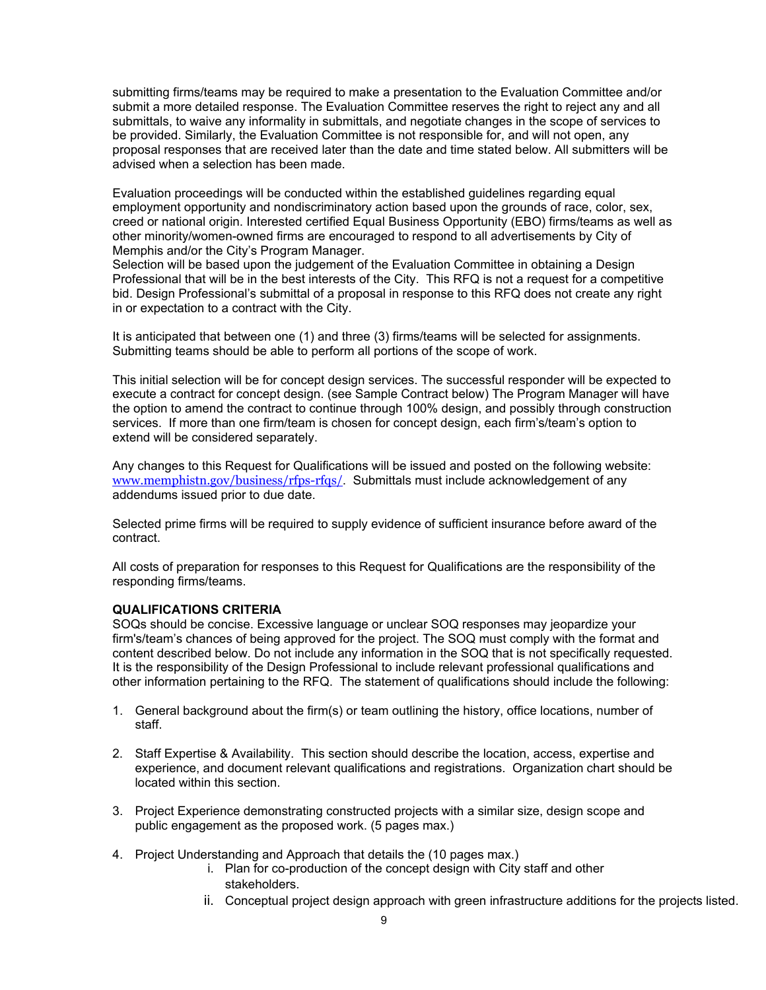submitting firms/teams may be required to make a presentation to the Evaluation Committee and/or submit a more detailed response. The Evaluation Committee reserves the right to reject any and all submittals, to waive any informality in submittals, and negotiate changes in the scope of services to be provided. Similarly, the Evaluation Committee is not responsible for, and will not open, any proposal responses that are received later than the date and time stated below. All submitters will be advised when a selection has been made.

Evaluation proceedings will be conducted within the established guidelines regarding equal employment opportunity and nondiscriminatory action based upon the grounds of race, color, sex, creed or national origin. Interested certified Equal Business Opportunity (EBO) firms/teams as well as other minority/women-owned firms are encouraged to respond to all advertisements by City of Memphis and/or the City's Program Manager.

Selection will be based upon the judgement of the Evaluation Committee in obtaining a Design Professional that will be in the best interests of the City. This RFQ is not a request for a competitive bid. Design Professional's submittal of a proposal in response to this RFQ does not create any right in or expectation to a contract with the City.

It is anticipated that between one (1) and three (3) firms/teams will be selected for assignments. Submitting teams should be able to perform all portions of the scope of work.

This initial selection will be for concept design services. The successful responder will be expected to execute a contract for concept design. (see Sample Contract below) The Program Manager will have the option to amend the contract to continue through 100% design, and possibly through construction services. If more than one firm/team is chosen for concept design, each firm's/team's option to extend will be considered separately.

Any changes to this Request for Qualifications will be issued and posted on the following website: www.memphistn.gov/business/rfps-rfqs/. Submittals must include acknowledgement of any addendums issued prior to due date.

Selected prime firms will be required to supply evidence of sufficient insurance before award of the contract.

All costs of preparation for responses to this Request for Qualifications are the responsibility of the responding firms/teams.

#### **QUALIFICATIONS CRITERIA**

SOQs should be concise. Excessive language or unclear SOQ responses may jeopardize your firm's/team's chances of being approved for the project. The SOQ must comply with the format and content described below. Do not include any information in the SOQ that is not specifically requested. It is the responsibility of the Design Professional to include relevant professional qualifications and other information pertaining to the RFQ. The statement of qualifications should include the following:

- 1. General background about the firm(s) or team outlining the history, office locations, number of staff.
- 2. Staff Expertise & Availability. This section should describe the location, access, expertise and experience, and document relevant qualifications and registrations. Organization chart should be located within this section.
- 3. Project Experience demonstrating constructed projects with a similar size, design scope and public engagement as the proposed work. (5 pages max.)
- 4. Project Understanding and Approach that details the (10 pages max.)
	- i. Plan for co-production of the concept design with City staff and other stakeholders.
	- ii. Conceptual project design approach with green infrastructure additions for the projects listed.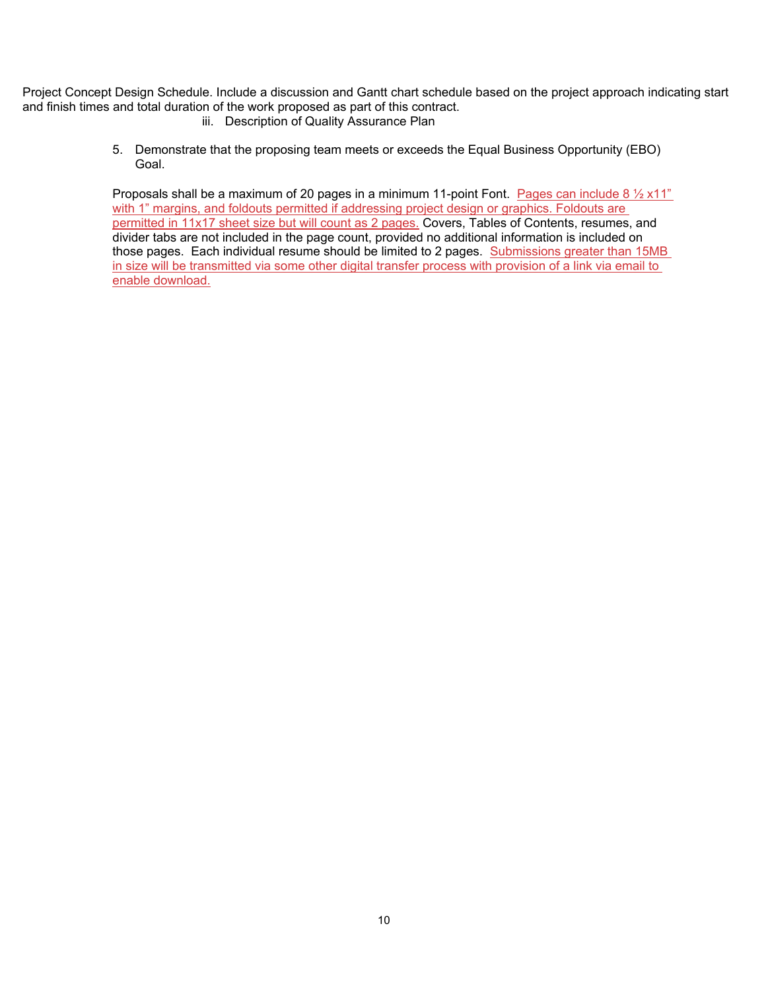Project Concept Design Schedule. Include a discussion and Gantt chart schedule based on the project approach indicating start and finish times and total duration of the work proposed as part of this contract.

- iii. Description of Quality Assurance Plan
- 5. Demonstrate that the proposing team meets or exceeds the Equal Business Opportunity (EBO) Goal.

Proposals shall be a maximum of 20 pages in a minimum 11-point Font. Pages can include 8  $\frac{1}{2}$  x11" with 1" margins, and foldouts permitted if addressing project design or graphics. Foldouts are permitted in 11x17 sheet size but will count as 2 pages. Covers, Tables of Contents, resumes, and divider tabs are not included in the page count, provided no additional information is included on those pages. Each individual resume should be limited to 2 pages. Submissions greater than 15MB in size will be transmitted via some other digital transfer process with provision of a link via email to enable download.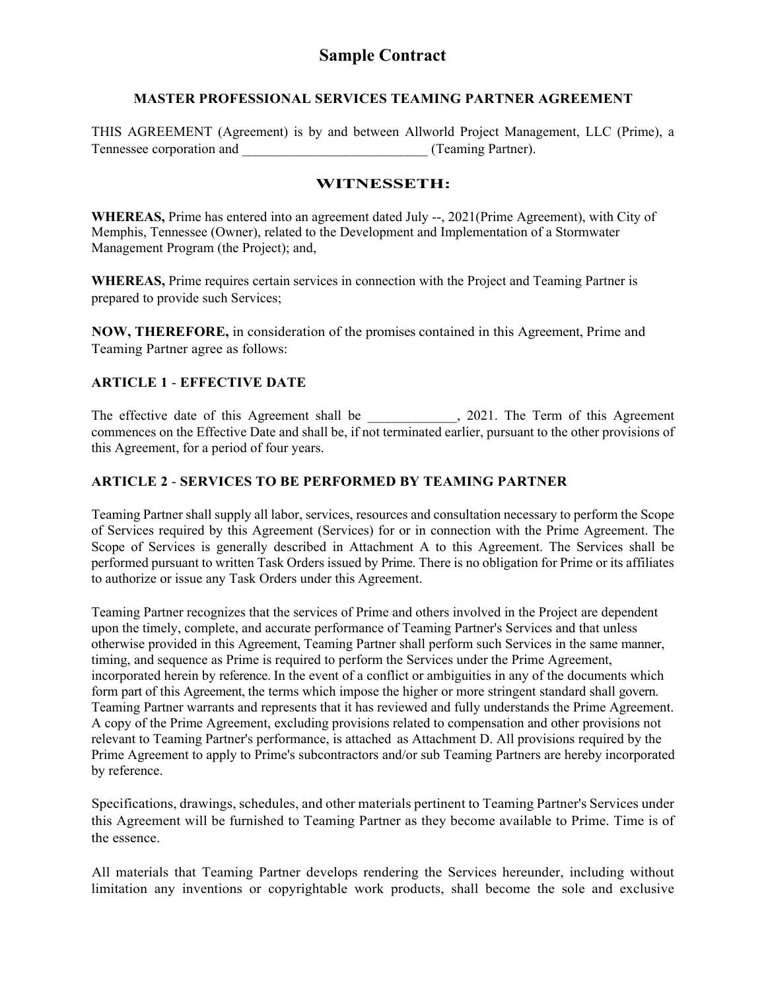#### **MASTER PROFESSIONAL SERVICES TEAMING PARTNER AGREEMENT**

THIS AGREEMENT (Agreement) is by and between Allworld Project Management, LLC (Prime), a Tennessee corporation and  $(Teaming Partner)$ .

#### **WITNESSETH:**

**WHEREAS,** Prime has entered into an agreement dated July --, 2021(Prime Agreement), with City of Memphis, Tennessee (Owner), related to the Development and Implementation of a Stormwater Management Program (the Project); and,

**WHEREAS,** Prime requires certain services in connection with the Project and Teaming Partner is prepared to provide such Services;

**NOW, THEREFORE,** in consideration of the promises contained in this Agreement, Prime and Teaming Partner agree as follows:

### **ARTICLE 1** - **EFFECTIVE DATE**

The effective date of this Agreement shall be \_\_\_\_\_\_\_\_\_\_\_\_, 2021. The Term of this Agreement commences on the Effective Date and shall be, if not terminated earlier, pursuant to the other provisions of this Agreement, for a period of four years.

### **ARTICLE 2** - **SERVICES TO BE PERFORMED BY TEAMING PARTNER**

Teaming Partner shall supply all labor, services, resources and consultation necessary to perform the Scope of Services required by this Agreement (Services) for or in connection with the Prime Agreement. The Scope of Services is generally described in Attachment A to this Agreement. The Services shall be performed pursuant to written Task Orders issued by Prime. There is no obligation for Prime or its affiliates to authorize or issue any Task Orders under this Agreement.

Teaming Partner recognizes that the services of Prime and others involved in the Project are dependent upon the timely, complete, and accurate performance of Teaming Partner's Services and that unless otherwise provided in this Agreement, Teaming Partner shall perform such Services in the same manner, timing, and sequence as Prime is required to perform the Services under the Prime Agreement, incorporated herein by reference. In the event of a conflict or ambiguities in any of the documents which form part of this Agreement, the terms which impose the higher or more stringent standard shall govern. Teaming Partner warrants and represents that it has reviewed and fully understands the Prime Agreement. A copy of the Prime Agreement, excluding provisions related to compensation and other provisions not relevant to Teaming Partner's performance, is attached as Attachment D. All provisions required by the Prime Agreement to apply to Prime's subcontractors and/or sub Teaming Partners are hereby incorporated by reference.

Specifications, drawings, schedules, and other materials pertinent to Teaming Partner's Services under this Agreement will be furnished to Teaming Partner as they become available to Prime. Time is of the essence.

All materials that Teaming Partner develops rendering the Services hereunder, including without limitation any inventions or copyrightable work products, shall become the sole and exclusive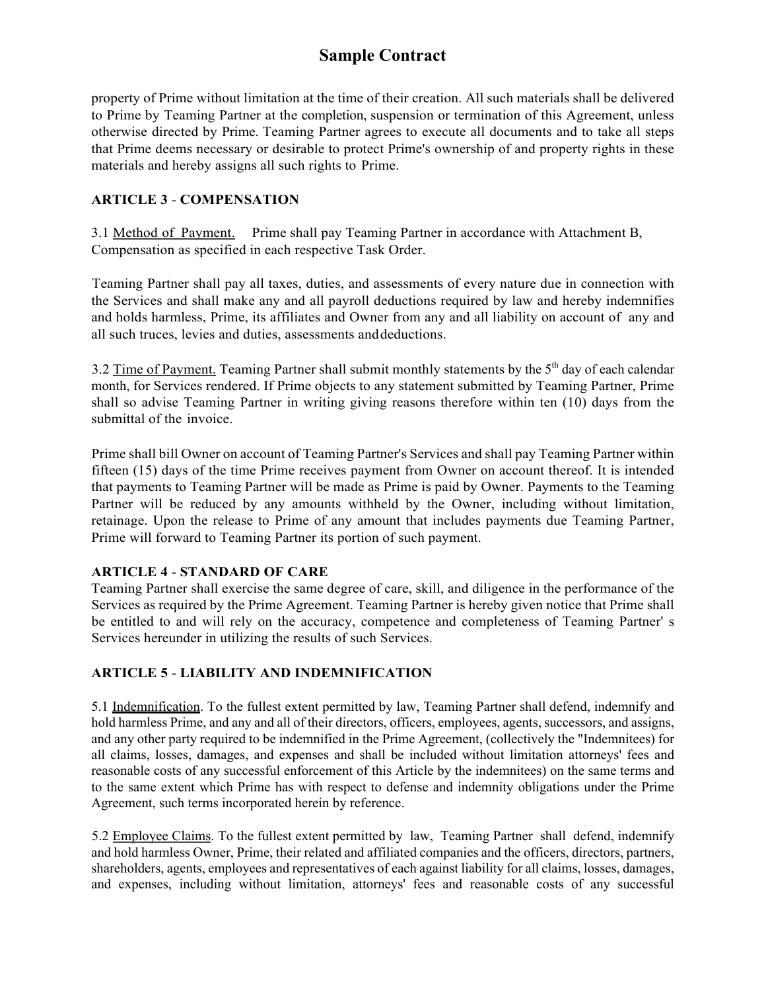property of Prime without limitation at the time of their creation. All such materials shall be delivered to Prime by Teaming Partner at the completion, suspension or termination of this Agreement, unless otherwise directed by Prime. Teaming Partner agrees to execute all documents and to take all steps that Prime deems necessary or desirable to protect Prime's ownership of and property rights in these materials and hereby assigns all such rights to Prime.

### **ARTICLE 3** - **COMPENSATION**

3.1 Method of Payment. Prime shall pay Teaming Partner in accordance with Attachment B, Compensation as specified in each respective Task Order.

Teaming Partner shall pay all taxes, duties, and assessments of every nature due in connection with the Services and shall make any and all payroll deductions required by law and hereby indemnifies and holds harmless, Prime, its affiliates and Owner from any and all liability on account of any and all such truces, levies and duties, assessments and deductions.

3.2 Time of Payment. Teaming Partner shall submit monthly statements by the  $5<sup>th</sup>$  day of each calendar month, for Services rendered. If Prime objects to any statement submitted by Teaming Partner, Prime shall so advise Teaming Partner in writing giving reasons therefore within ten (10) days from the submittal of the invoice.

Prime shall bill Owner on account of Teaming Partner's Services and shall pay Teaming Partner within fifteen (15) days of the time Prime receives payment from Owner on account thereof. It is intended that payments to Teaming Partner will be made as Prime is paid by Owner. Payments to the Teaming Partner will be reduced by any amounts withheld by the Owner, including without limitation, retainage. Upon the release to Prime of any amount that includes payments due Teaming Partner, Prime will forward to Teaming Partner its portion of such payment.

### **ARTICLE 4** - **STANDARD OF CARE**

Teaming Partner shall exercise the same degree of care, skill, and diligence in the performance of the Services as required by the Prime Agreement. Teaming Partner is hereby given notice that Prime shall be entitled to and will rely on the accuracy, competence and completeness of Teaming Partner' s Services hereunder in utilizing the results of such Services.

### **ARTICLE 5** - **LIABILITY AND INDEMNIFICATION**

5.1 Indemnification. To the fullest extent permitted by law, Teaming Partner shall defend, indemnify and hold harmless Prime, and any and all of their directors, officers, employees, agents, successors, and assigns, and any other party required to be indemnified in the Prime Agreement, (collectively the "Indemnitees) for all claims, losses, damages, and expenses and shall be included without limitation attorneys' fees and reasonable costs of any successful enforcement of this Article by the indemnitees) on the same terms and to the same extent which Prime has with respect to defense and indemnity obligations under the Prime Agreement, such terms incorporated herein by reference.

5.2 Employee Claims. To the fullest extent permitted by law, Teaming Partner shall defend, indemnify and hold harmless Owner, Prime, their related and affiliated companies and the officers, directors, partners, shareholders, agents, employees and representatives of each against liability for all claims, losses, damages, and expenses, including without limitation, attorneys' fees and reasonable costs of any successful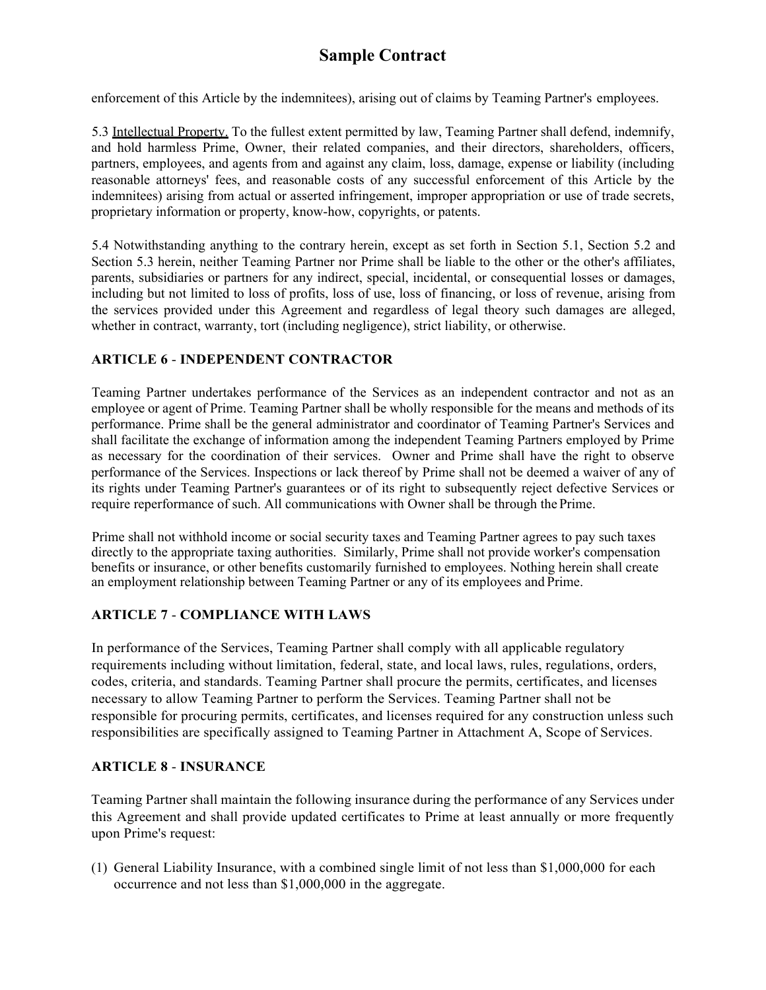enforcement of this Article by the indemnitees), arising out of claims by Teaming Partner's employees.

5.3 Intellectual Property. To the fullest extent permitted by law, Teaming Partner shall defend, indemnify, and hold harmless Prime, Owner, their related companies, and their directors, shareholders, officers, partners, employees, and agents from and against any claim, loss, damage, expense or liability (including reasonable attorneys' fees, and reasonable costs of any successful enforcement of this Article by the indemnitees) arising from actual or asserted infringement, improper appropriation or use of trade secrets, proprietary information or property, know-how, copyrights, or patents.

5.4 Notwithstanding anything to the contrary herein, except as set forth in Section 5.1, Section 5.2 and Section 5.3 herein, neither Teaming Partner nor Prime shall be liable to the other or the other's affiliates, parents, subsidiaries or partners for any indirect, special, incidental, or consequential losses or damages, including but not limited to loss of profits, loss of use, loss of financing, or loss of revenue, arising from the services provided under this Agreement and regardless of legal theory such damages are alleged, whether in contract, warranty, tort (including negligence), strict liability, or otherwise.

### **ARTICLE 6** - **INDEPENDENT CONTRACTOR**

Teaming Partner undertakes performance of the Services as an independent contractor and not as an employee or agent of Prime. Teaming Partner shall be wholly responsible for the means and methods of its performance. Prime shall be the general administrator and coordinator of Teaming Partner's Services and shall facilitate the exchange of information among the independent Teaming Partners employed by Prime as necessary for the coordination of their services. Owner and Prime shall have the right to observe performance of the Services. Inspections or lack thereof by Prime shall not be deemed a waiver of any of its rights under Teaming Partner's guarantees or of its right to subsequently reject defective Services or require reperformance of such. All communications with Owner shall be through the Prime.

Prime shall not withhold income or social security taxes and Teaming Partner agrees to pay such taxes directly to the appropriate taxing authorities. Similarly, Prime shall not provide worker's compensation benefits or insurance, or other benefits customarily furnished to employees. Nothing herein shall create an employment relationship between Teaming Partner or any of its employees and Prime.

### **ARTICLE 7** - **COMPLIANCE WITH LAWS**

In performance of the Services, Teaming Partner shall comply with all applicable regulatory requirements including without limitation, federal, state, and local laws, rules, regulations, orders, codes, criteria, and standards. Teaming Partner shall procure the permits, certificates, and licenses necessary to allow Teaming Partner to perform the Services. Teaming Partner shall not be responsible for procuring permits, certificates, and licenses required for any construction unless such responsibilities are specifically assigned to Teaming Partner in Attachment A, Scope of Services.

### **ARTICLE 8** - **INSURANCE**

Teaming Partner shall maintain the following insurance during the performance of any Services under this Agreement and shall provide updated certificates to Prime at least annually or more frequently upon Prime's request:

(1) General Liability Insurance, with a combined single limit of not less than \$1,000,000 for each occurrence and not less than \$1,000,000 in the aggregate.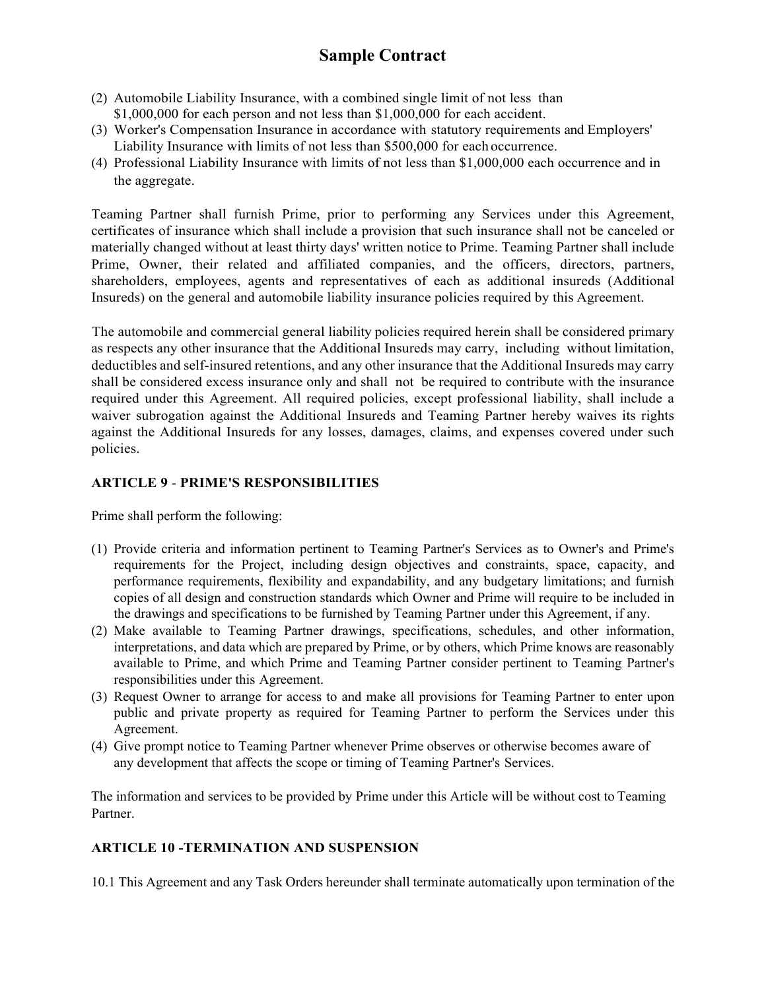- (2) Automobile Liability Insurance, with a combined single limit of not less than \$1,000,000 for each person and not less than \$1,000,000 for each accident.
- (3) Worker's Compensation Insurance in accordance with statutory requirements and Employers' Liability Insurance with limits of not less than \$500,000 for each occurrence.
- (4) Professional Liability Insurance with limits of not less than \$1,000,000 each occurrence and in the aggregate.

Teaming Partner shall furnish Prime, prior to performing any Services under this Agreement, certificates of insurance which shall include a provision that such insurance shall not be canceled or materially changed without at least thirty days' written notice to Prime. Teaming Partner shall include Prime, Owner, their related and affiliated companies, and the officers, directors, partners, shareholders, employees, agents and representatives of each as additional insureds (Additional Insureds) on the general and automobile liability insurance policies required by this Agreement.

The automobile and commercial general liability policies required herein shall be considered primary as respects any other insurance that the Additional Insureds may carry, including without limitation, deductibles and self-insured retentions, and any other insurance that the Additional Insureds may carry shall be considered excess insurance only and shall not be required to contribute with the insurance required under this Agreement. All required policies, except professional liability, shall include a waiver subrogation against the Additional Insureds and Teaming Partner hereby waives its rights against the Additional Insureds for any losses, damages, claims, and expenses covered under such policies.

### **ARTICLE 9** - **PRIME'S RESPONSIBILITIES**

Prime shall perform the following:

- (1) Provide criteria and information pertinent to Teaming Partner's Services as to Owner's and Prime's requirements for the Project, including design objectives and constraints, space, capacity, and performance requirements, flexibility and expandability, and any budgetary limitations; and furnish copies of all design and construction standards which Owner and Prime will require to be included in the drawings and specifications to be furnished by Teaming Partner under this Agreement, if any.
- (2) Make available to Teaming Partner drawings, specifications, schedules, and other information, interpretations, and data which are prepared by Prime, or by others, which Prime knows are reasonably available to Prime, and which Prime and Teaming Partner consider pertinent to Teaming Partner's responsibilities under this Agreement.
- (3) Request Owner to arrange for access to and make all provisions for Teaming Partner to enter upon public and private property as required for Teaming Partner to perform the Services under this Agreement.
- (4) Give prompt notice to Teaming Partner whenever Prime observes or otherwise becomes aware of any development that affects the scope or timing of Teaming Partner's Services.

The information and services to be provided by Prime under this Article will be without cost to Teaming Partner.

### **ARTICLE 10 -TERMINATION AND SUSPENSION**

10.1 This Agreement and any Task Orders hereunder shall terminate automatically upon termination of the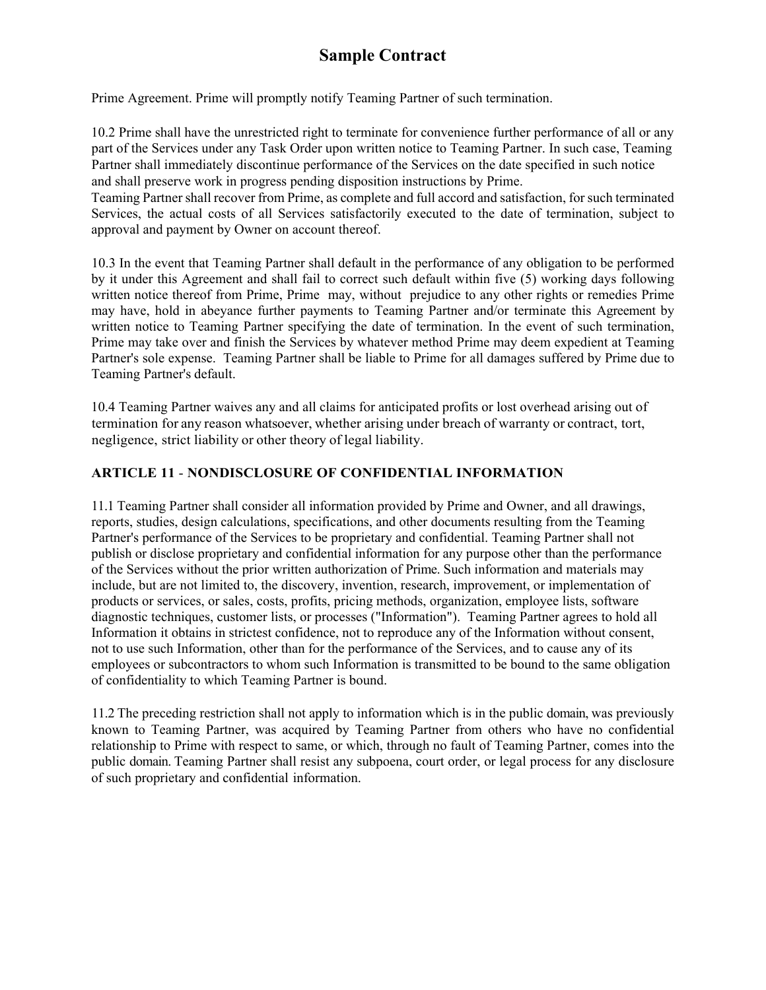Prime Agreement. Prime will promptly notify Teaming Partner of such termination.

10.2 Prime shall have the unrestricted right to terminate for convenience further performance of all or any part of the Services under any Task Order upon written notice to Teaming Partner. In such case, Teaming Partner shall immediately discontinue performance of the Services on the date specified in such notice and shall preserve work in progress pending disposition instructions by Prime.

Teaming Partner shall recover from Prime, as complete and full accord and satisfaction, for such terminated Services, the actual costs of all Services satisfactorily executed to the date of termination, subject to approval and payment by Owner on account thereof.

10.3 In the event that Teaming Partner shall default in the performance of any obligation to be performed by it under this Agreement and shall fail to correct such default within five (5) working days following written notice thereof from Prime, Prime may, without prejudice to any other rights or remedies Prime may have, hold in abeyance further payments to Teaming Partner and/or terminate this Agreement by written notice to Teaming Partner specifying the date of termination. In the event of such termination, Prime may take over and finish the Services by whatever method Prime may deem expedient at Teaming Partner's sole expense. Teaming Partner shall be liable to Prime for all damages suffered by Prime due to Teaming Partner's default.

10.4 Teaming Partner waives any and all claims for anticipated profits or lost overhead arising out of termination for any reason whatsoever, whether arising under breach of warranty or contract, tort, negligence, strict liability or other theory of legal liability.

### **ARTICLE 11** - **NONDISCLOSURE OF CONFIDENTIAL INFORMATION**

11.1 Teaming Partner shall consider all information provided by Prime and Owner, and all drawings, reports, studies, design calculations, specifications, and other documents resulting from the Teaming Partner's performance of the Services to be proprietary and confidential. Teaming Partner shall not publish or disclose proprietary and confidential information for any purpose other than the performance of the Services without the prior written authorization of Prime. Such information and materials may include, but are not limited to, the discovery, invention, research, improvement, or implementation of products or services, or sales, costs, profits, pricing methods, organization, employee lists, software diagnostic techniques, customer lists, or processes ("Information"). Teaming Partner agrees to hold all Information it obtains in strictest confidence, not to reproduce any of the Information without consent, not to use such Information, other than for the performance of the Services, and to cause any of its employees or subcontractors to whom such Information is transmitted to be bound to the same obligation of confidentiality to which Teaming Partner is bound.

11.2 The preceding restriction shall not apply to information which is in the public domain, was previously known to Teaming Partner, was acquired by Teaming Partner from others who have no confidential relationship to Prime with respect to same, or which, through no fault of Teaming Partner, comes into the public domain. Teaming Partner shall resist any subpoena, court order, or legal process for any disclosure of such proprietary and confidential information.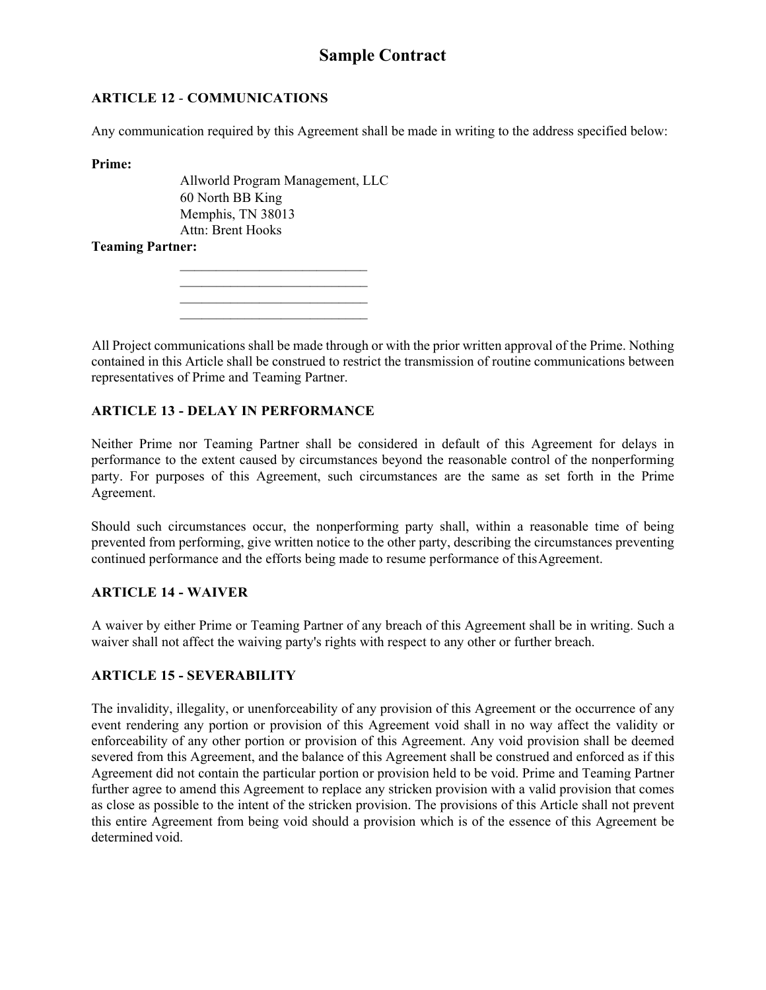### **ARTICLE 12** - **COMMUNICATIONS**

Any communication required by this Agreement shall be made in writing to the address specified below:

**Prime:** 

Allworld Program Management, LLC 60 North BB King Memphis, TN 38013 Attn: Brent Hooks

#### **Teaming Partner:**

 $\mathcal{L}_\text{max}$  , where  $\mathcal{L}_\text{max}$  and  $\mathcal{L}_\text{max}$  $\mathcal{L}_\text{max}$  $\mathcal{L}_\text{max}$ 

 $\mathcal{L}_\text{max}$ 

All Project communications shall be made through or with the prior written approval of the Prime. Nothing contained in this Article shall be construed to restrict the transmission of routine communications between representatives of Prime and Teaming Partner.

### **ARTICLE 13 - DELAY IN PERFORMANCE**

Neither Prime nor Teaming Partner shall be considered in default of this Agreement for delays in performance to the extent caused by circumstances beyond the reasonable control of the nonperforming party. For purposes of this Agreement, such circumstances are the same as set forth in the Prime Agreement.

Should such circumstances occur, the nonperforming party shall, within a reasonable time of being prevented from performing, give written notice to the other party, describing the circumstances preventing continued performance and the efforts being made to resume performance of this Agreement.

### **ARTICLE 14 - WAIVER**

A waiver by either Prime or Teaming Partner of any breach of this Agreement shall be in writing. Such a waiver shall not affect the waiving party's rights with respect to any other or further breach.

### **ARTICLE 15 - SEVERABILITY**

The invalidity, illegality, or unenforceability of any provision of this Agreement or the occurrence of any event rendering any portion or provision of this Agreement void shall in no way affect the validity or enforceability of any other portion or provision of this Agreement. Any void provision shall be deemed severed from this Agreement, and the balance of this Agreement shall be construed and enforced as if this Agreement did not contain the particular portion or provision held to be void. Prime and Teaming Partner further agree to amend this Agreement to replace any stricken provision with a valid provision that comes as close as possible to the intent of the stricken provision. The provisions of this Article shall not prevent this entire Agreement from being void should a provision which is of the essence of this Agreement be determined void.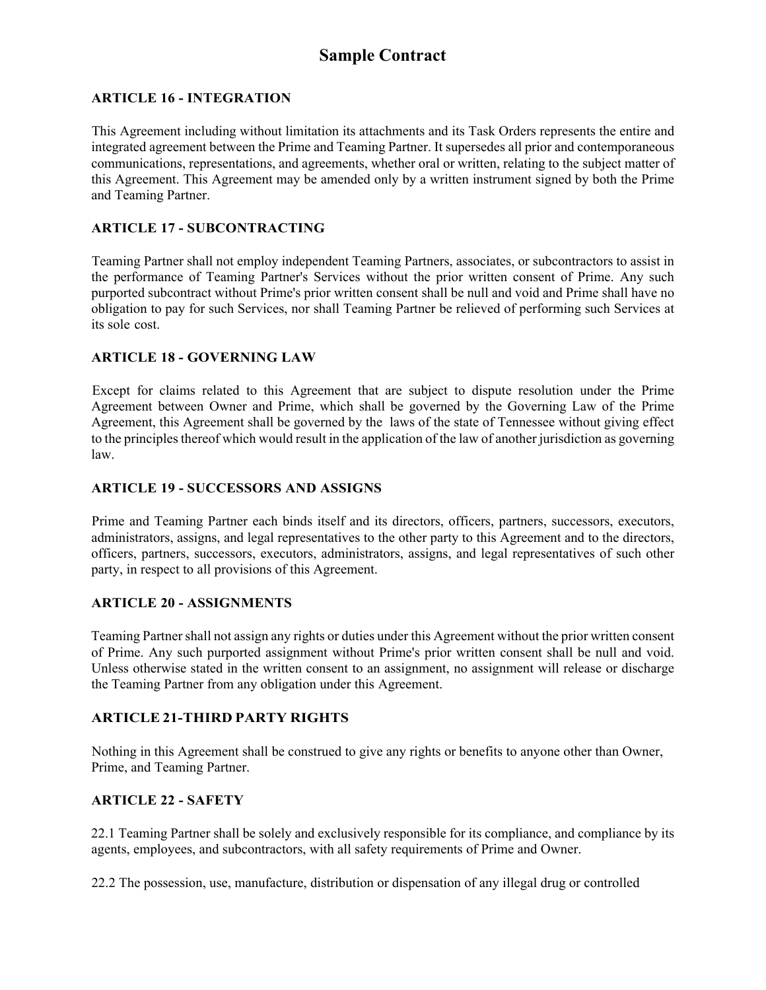### **ARTICLE 16 - INTEGRATION**

This Agreement including without limitation its attachments and its Task Orders represents the entire and integrated agreement between the Prime and Teaming Partner. It supersedes all prior and contemporaneous communications, representations, and agreements, whether oral or written, relating to the subject matter of this Agreement. This Agreement may be amended only by a written instrument signed by both the Prime and Teaming Partner.

#### **ARTICLE 17 - SUBCONTRACTING**

Teaming Partner shall not employ independent Teaming Partners, associates, or subcontractors to assist in the performance of Teaming Partner's Services without the prior written consent of Prime. Any such purported subcontract without Prime's prior written consent shall be null and void and Prime shall have no obligation to pay for such Services, nor shall Teaming Partner be relieved of performing such Services at its sole cost.

#### **ARTICLE 18 - GOVERNING LAW**

Except for claims related to this Agreement that are subject to dispute resolution under the Prime Agreement between Owner and Prime, which shall be governed by the Governing Law of the Prime Agreement, this Agreement shall be governed by the laws of the state of Tennessee without giving effect to the principles thereof which would result in the application of the law of another jurisdiction as governing law.

#### **ARTICLE 19 - SUCCESSORS AND ASSIGNS**

Prime and Teaming Partner each binds itself and its directors, officers, partners, successors, executors, administrators, assigns, and legal representatives to the other party to this Agreement and to the directors, officers, partners, successors, executors, administrators, assigns, and legal representatives of such other party, in respect to all provisions of this Agreement.

#### **ARTICLE 20 - ASSIGNMENTS**

Teaming Partner shall not assign any rights or duties under this Agreement without the prior written consent of Prime. Any such purported assignment without Prime's prior written consent shall be null and void. Unless otherwise stated in the written consent to an assignment, no assignment will release or discharge the Teaming Partner from any obligation under this Agreement.

### **ARTICLE 21-THIRD PARTY RIGHTS**

Nothing in this Agreement shall be construed to give any rights or benefits to anyone other than Owner, Prime, and Teaming Partner.

#### **ARTICLE 22 - SAFETY**

22.1 Teaming Partner shall be solely and exclusively responsible for its compliance, and compliance by its agents, employees, and subcontractors, with all safety requirements of Prime and Owner.

22.2 The possession, use, manufacture, distribution or dispensation of any illegal drug or controlled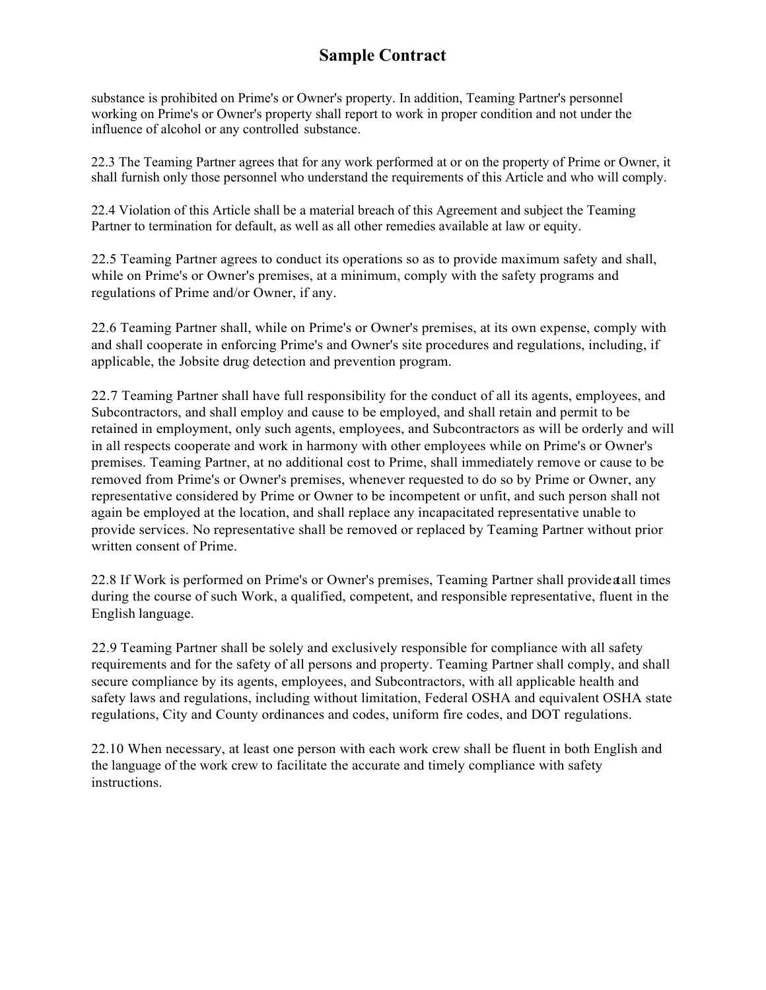substance is prohibited on Prime's or Owner's property. In addition, Teaming Partner's personnel working on Prime's or Owner's property shall report to work in proper condition and not under the influence of alcohol or any controlled substance.

22.3 The Teaming Partner agrees that for any work performed at or on the property of Prime or Owner, it shall furnish only those personnel who understand the requirements of this Article and who will comply.

22.4 Violation of this Article shall be a material breach of this Agreement and subject the Teaming Partner to termination for default, as well as all other remedies available at law or equity.

22.5 Teaming Partner agrees to conduct its operations so as to provide maximum safety and shall, while on Prime's or Owner's premises, at a minimum, comply with the safety programs and regulations of Prime and/or Owner, if any.

22.6 Teaming Partner shall, while on Prime's or Owner's premises, at its own expense, comply with and shall cooperate in enforcing Prime's and Owner's site procedures and regulations, including, if applicable, the Jobsite drug detection and prevention program.

22.7 Teaming Partner shall have full responsibility for the conduct of all its agents, employees, and Subcontractors, and shall employ and cause to be employed, and shall retain and permit to be retained in employment, only such agents, employees, and Subcontractors as will be orderly and will in all respects cooperate and work in harmony with other employees while on Prime's or Owner's premises. Teaming Partner, at no additional cost to Prime, shall immediately remove or cause to be removed from Prime's or Owner's premises, whenever requested to do so by Prime or Owner, any representative considered by Prime or Owner to be incompetent or unfit, and such person shall not again be employed at the location, and shall replace any incapacitated representative unable to provide services. No representative shall be removed or replaced by Teaming Partner without prior written consent of Prime.

22.8 If Work is performed on Prime's or Owner's premises, Teaming Partner shall provide at all times during the course of such Work, a qualified, competent, and responsible representative, fluent in the English language.

22.9 Teaming Partner shall be solely and exclusively responsible for compliance with all safety requirements and for the safety of all persons and property. Teaming Partner shall comply, and shall secure compliance by its agents, employees, and Subcontractors, with all applicable health and safety laws and regulations, including without limitation, Federal OSHA and equivalent OSHA state regulations, City and County ordinances and codes, uniform fire codes, and DOT regulations.

22.10 When necessary, at least one person with each work crew shall be fluent in both English and the language of the work crew to facilitate the accurate and timely compliance with safety instructions.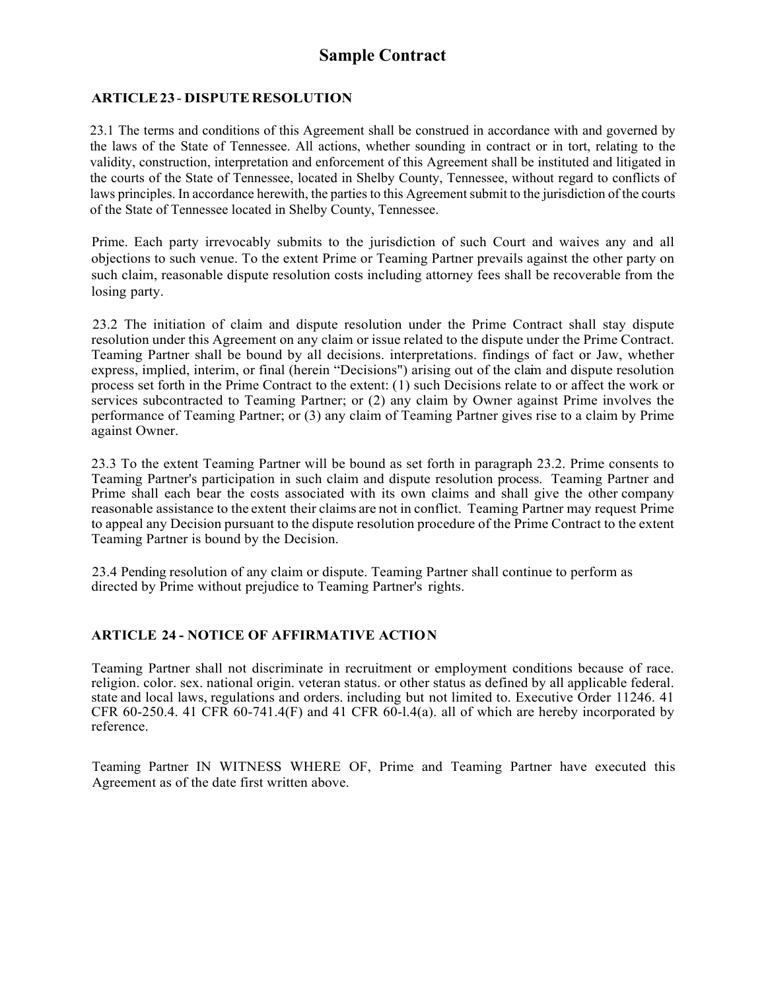#### **ARTICLE 23** - **DISPUTE RESOLUTION**

23.1 The terms and conditions of this Agreement shall be construed in accordance with and governed by the laws of the State of Tennessee. All actions, whether sounding in contract or in tort, relating to the validity, construction, interpretation and enforcement of this Agreement shall be instituted and litigated in the courts of the State of Tennessee, located in Shelby County, Tennessee, without regard to conflicts of laws principles. In accordance herewith, the parties to this Agreement submit to the jurisdiction of the courts of the State of Tennessee located in Shelby County, Tennessee.

Prime. Each party irrevocably submits to the jurisdiction of such Court and waives any and all objections to such venue. To the extent Prime or Teaming Partner prevails against the other party on such claim, reasonable dispute resolution costs including attorney fees shall be recoverable from the losing party.

23.2 The initiation of claim and dispute resolution under the Prime Contract shall stay dispute resolution under this Agreement on any claim or issue related to the dispute under the Prime Contract. Teaming Partner shall be bound by all decisions. interpretations. findings of fact or Jaw, whether express, implied, interim, or final (herein "Decisions") arising out of the claim and dispute resolution process set forth in the Prime Contract to the extent: (1) such Decisions relate to or affect the work or services subcontracted to Teaming Partner; or (2) any claim by Owner against Prime involves the performance of Teaming Partner; or (3) any claim of Teaming Partner gives rise to a claim by Prime against Owner.

23.3 To the extent Teaming Partner will be bound as set forth in paragraph 23.2. Prime consents to Teaming Partner's participation in such claim and dispute resolution process. Teaming Partner and Prime shall each bear the costs associated with its own claims and shall give the other company reasonable assistance to the extent their claims are not in conflict. Teaming Partner may request Prime to appeal any Decision pursuant to the dispute resolution procedure of the Prime Contract to the extent Teaming Partner is bound by the Decision.

23.4 Pending resolution of any claim or dispute. Teaming Partner shall continue to perform as directed by Prime without prejudice to Teaming Partner's rights.

### **ARTICLE 24 - NOTICE OF AFFIRMATIVE ACTIO N**

Teaming Partner shall not discriminate in recruitment or employment conditions because of race. religion. color. sex. national origin. veteran status. or other status as defined by all applicable federal. state and local laws, regulations and orders. including but not limited to. Executive Order 11246. 41 CFR 60-250.4. 41 CFR 60-741.4(F) and 41 CFR 60-1.4(a). all of which are hereby incorporated by reference.

Teaming Partner IN WITNESS WHERE OF, Prime and Teaming Partner have executed this Agreement as of the date first written above.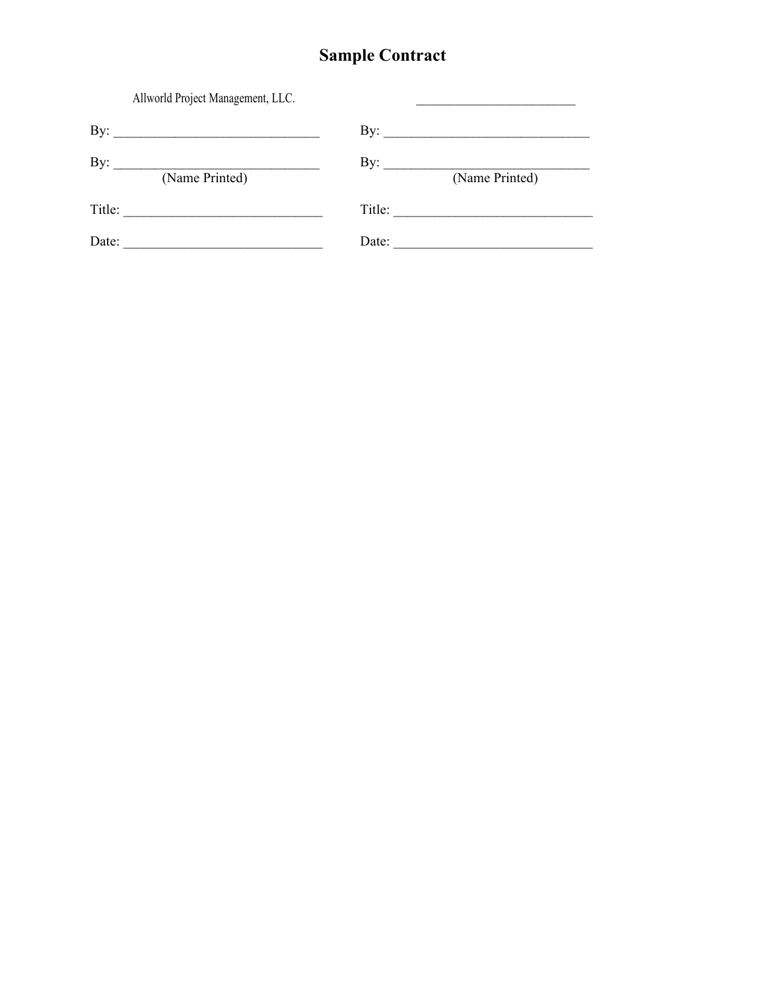| Allworld Project Management, LLC.                                                                  |                                                                                                                                                                                                                                                                                                                                                                                                                                                   |
|----------------------------------------------------------------------------------------------------|---------------------------------------------------------------------------------------------------------------------------------------------------------------------------------------------------------------------------------------------------------------------------------------------------------------------------------------------------------------------------------------------------------------------------------------------------|
| By:<br><u> 1989 - Johann Barn, mars ar breithinn ar chwaraeth a bhaile ann an t-</u>               | By: $\qquad \qquad$                                                                                                                                                                                                                                                                                                                                                                                                                               |
| By:<br>(Name Printed)                                                                              | By: $\frac{y}{\sqrt{1 - \frac{y}{\sqrt{1 - \frac{y}{\sqrt{1 - \frac{y}{\sqrt{1 - \frac{y}{\sqrt{1 - \frac{y}{\sqrt{1 - \frac{y}{\sqrt{1 - \frac{y}{\sqrt{1 - \frac{y}{\sqrt{1 - \frac{y}{\sqrt{1 - \frac{y}{\sqrt{1 - \frac{y}{\sqrt{1 - \frac{y}{\sqrt{1 - \frac{y}{\sqrt{1 - \frac{y}{\sqrt{1 - \frac{y}{\sqrt{1 - \frac{y}{\sqrt{1 - \frac{y}{\sqrt{1 - \frac{y}{\sqrt{1 - \frac{y}{\sqrt{1 - \frac{y}{\sqrt{1 - \frac{y}{\$<br>(Name Printed) |
| Title:                                                                                             | Title:<br><u> 1989 - Johann John Stein, markin fan it fjort fan it fjort fan it fjort fan it fjort fan it fjort fan it fjort fan it fjort fan it fjort fan it fjort fan it fjort fan it fjort fan it fjort fan it fjort fan it fjort fan i</u>                                                                                                                                                                                                    |
| Date:<br>the control of the control of the control of the control of the control of the control of | Date:                                                                                                                                                                                                                                                                                                                                                                                                                                             |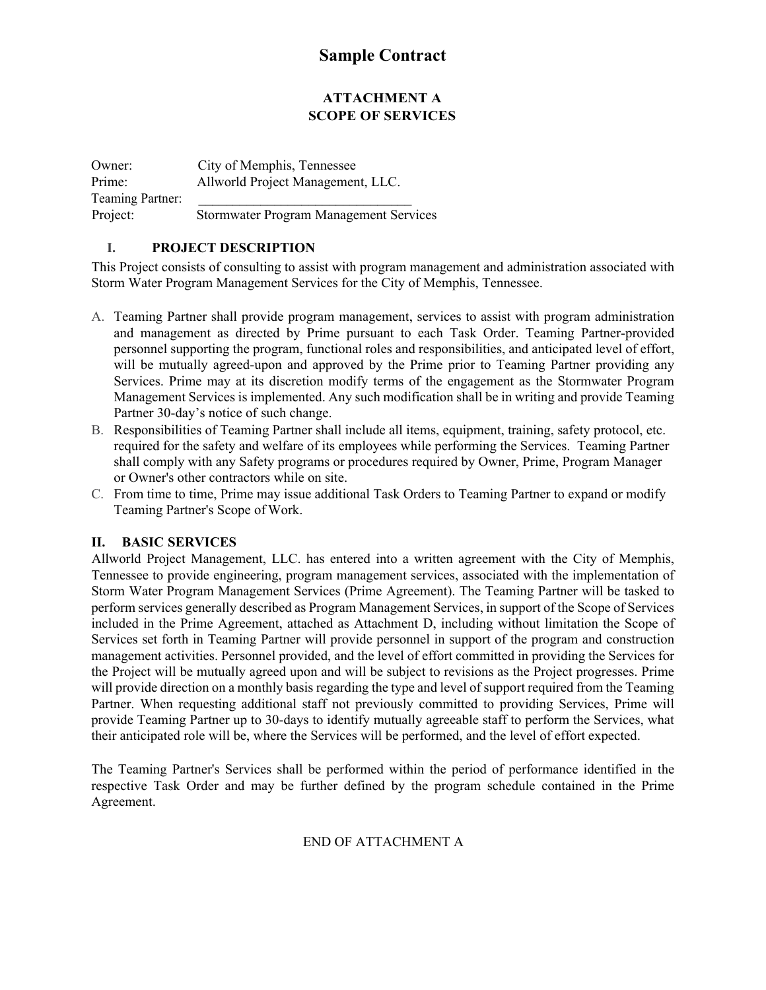### **ATTACHMENT A SCOPE OF SERVICES**

Owner: City of Memphis, Tennessee Prime: Allworld Project Management, LLC. Teaming Partner: Project: Stormwater Program Management Services

#### **I. PROJECT DESCRIPTION**

This Project consists of consulting to assist with program management and administration associated with Storm Water Program Management Services for the City of Memphis, Tennessee.

- A. Teaming Partner shall provide program management, services to assist with program administration and management as directed by Prime pursuant to each Task Order. Teaming Partner-provided personnel supporting the program, functional roles and responsibilities, and anticipated level of effort, will be mutually agreed-upon and approved by the Prime prior to Teaming Partner providing any Services. Prime may at its discretion modify terms of the engagement as the Stormwater Program Management Services is implemented. Any such modification shall be in writing and provide Teaming Partner 30-day's notice of such change.
- B. Responsibilities of Teaming Partner shall include all items, equipment, training, safety protocol, etc. required for the safety and welfare of its employees while performing the Services. Teaming Partner shall comply with any Safety programs or procedures required by Owner, Prime, Program Manager or Owner's other contractors while on site.
- C. From time to time, Prime may issue additional Task Orders to Teaming Partner to expand or modify Teaming Partner's Scope of Work.

#### **II. BASIC SERVICES**

Allworld Project Management, LLC. has entered into a written agreement with the City of Memphis, Tennessee to provide engineering, program management services, associated with the implementation of Storm Water Program Management Services (Prime Agreement). The Teaming Partner will be tasked to perform services generally described as Program Management Services, in support of the Scope of Services included in the Prime Agreement, attached as Attachment D, including without limitation the Scope of Services set forth in Teaming Partner will provide personnel in support of the program and construction management activities. Personnel provided, and the level of effort committed in providing the Services for the Project will be mutually agreed upon and will be subject to revisions as the Project progresses. Prime will provide direction on a monthly basis regarding the type and level of support required from the Teaming Partner. When requesting additional staff not previously committed to providing Services, Prime will provide Teaming Partner up to 30-days to identify mutually agreeable staff to perform the Services, what their anticipated role will be, where the Services will be performed, and the level of effort expected.

The Teaming Partner's Services shall be performed within the period of performance identified in the respective Task Order and may be further defined by the program schedule contained in the Prime Agreement.

### END OF ATTACHMENT A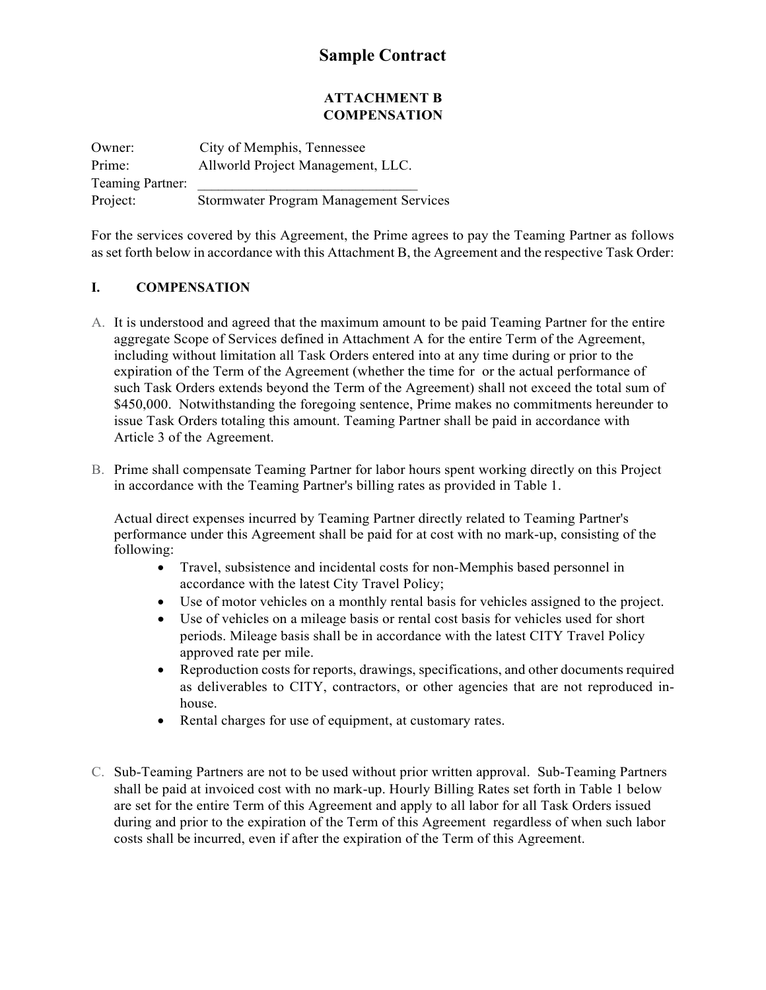#### **ATTACHMENT B COMPENSATION**

Owner: City of Memphis, Tennessee Prime: Allworld Project Management, LLC. Teaming Partner: Project: Stormwater Program Management Services

For the services covered by this Agreement, the Prime agrees to pay the Teaming Partner as follows as set forth below in accordance with this Attachment B, the Agreement and the respective Task Order:

### **I. COMPENSATION**

- A. It is understood and agreed that the maximum amount to be paid Teaming Partner for the entire aggregate Scope of Services defined in Attachment A for the entire Term of the Agreement, including without limitation all Task Orders entered into at any time during or prior to the expiration of the Term of the Agreement (whether the time for or the actual performance of such Task Orders extends beyond the Term of the Agreement) shall not exceed the total sum of \$450,000. Notwithstanding the foregoing sentence, Prime makes no commitments hereunder to issue Task Orders totaling this amount. Teaming Partner shall be paid in accordance with Article 3 of the Agreement.
- B. Prime shall compensate Teaming Partner for labor hours spent working directly on this Project in accordance with the Teaming Partner's billing rates as provided in Table 1.

Actual direct expenses incurred by Teaming Partner directly related to Teaming Partner's performance under this Agreement shall be paid for at cost with no mark-up, consisting of the following:

- Travel, subsistence and incidental costs for non-Memphis based personnel in accordance with the latest City Travel Policy;
- Use of motor vehicles on a monthly rental basis for vehicles assigned to the project.
- Use of vehicles on a mileage basis or rental cost basis for vehicles used for short periods. Mileage basis shall be in accordance with the latest CITY Travel Policy approved rate per mile.
- Reproduction costs for reports, drawings, specifications, and other documents required as deliverables to CITY, contractors, or other agencies that are not reproduced inhouse.
- Rental charges for use of equipment, at customary rates.
- C. Sub-Teaming Partners are not to be used without prior written approval. Sub-Teaming Partners shall be paid at invoiced cost with no mark-up. Hourly Billing Rates set forth in Table 1 below are set for the entire Term of this Agreement and apply to all labor for all Task Orders issued during and prior to the expiration of the Term of this Agreement regardless of when such labor costs shall be incurred, even if after the expiration of the Term of this Agreement.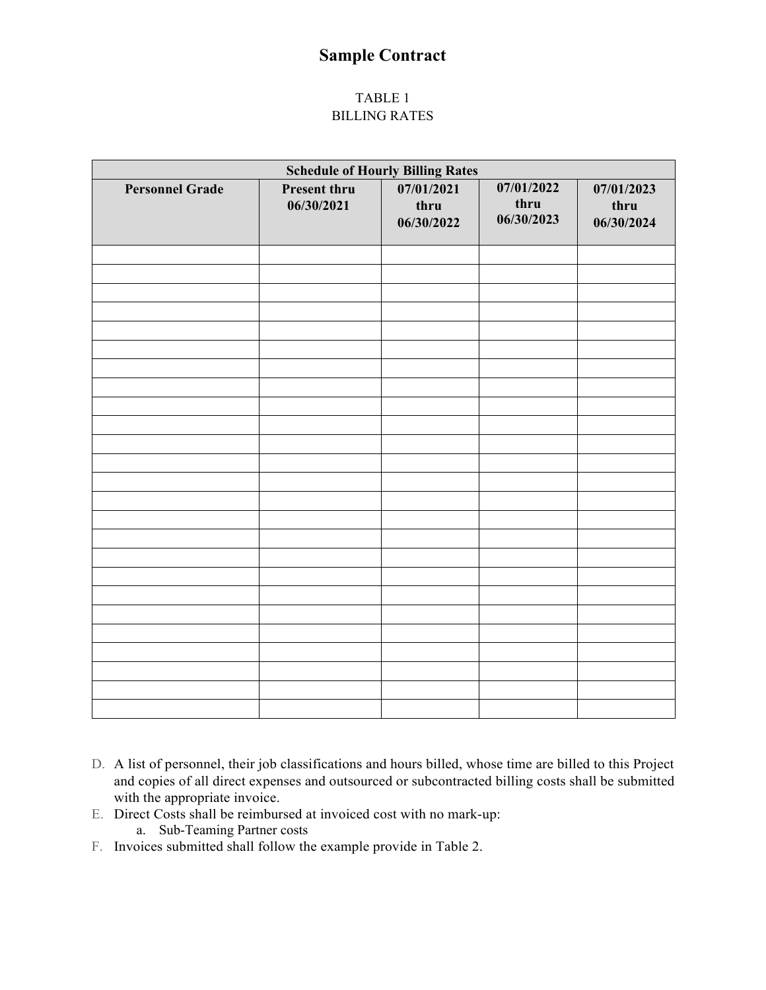#### TABLE 1 BILLING RATES

| <b>Schedule of Hourly Billing Rates</b> |                                   |                                  |                                  |                                  |
|-----------------------------------------|-----------------------------------|----------------------------------|----------------------------------|----------------------------------|
| <b>Personnel Grade</b>                  | <b>Present thru</b><br>06/30/2021 | 07/01/2021<br>thru<br>06/30/2022 | 07/01/2022<br>thru<br>06/30/2023 | 07/01/2023<br>thru<br>06/30/2024 |
|                                         |                                   |                                  |                                  |                                  |
|                                         |                                   |                                  |                                  |                                  |
|                                         |                                   |                                  |                                  |                                  |
|                                         |                                   |                                  |                                  |                                  |
|                                         |                                   |                                  |                                  |                                  |
|                                         |                                   |                                  |                                  |                                  |
|                                         |                                   |                                  |                                  |                                  |
|                                         |                                   |                                  |                                  |                                  |
|                                         |                                   |                                  |                                  |                                  |
|                                         |                                   |                                  |                                  |                                  |
|                                         |                                   |                                  |                                  |                                  |
|                                         |                                   |                                  |                                  |                                  |
|                                         |                                   |                                  |                                  |                                  |
|                                         |                                   |                                  |                                  |                                  |
|                                         |                                   |                                  |                                  |                                  |
|                                         |                                   |                                  |                                  |                                  |
|                                         |                                   |                                  |                                  |                                  |
|                                         |                                   |                                  |                                  |                                  |
|                                         |                                   |                                  |                                  |                                  |
|                                         |                                   |                                  |                                  |                                  |
|                                         |                                   |                                  |                                  |                                  |
|                                         |                                   |                                  |                                  |                                  |
|                                         |                                   |                                  |                                  |                                  |
|                                         |                                   |                                  |                                  |                                  |

- D. A list of personnel, their job classifications and hours billed, whose time are billed to this Project and copies of all direct expenses and outsourced or subcontracted billing costs shall be submitted with the appropriate invoice.
- E. Direct Costs shall be reimbursed at invoiced cost with no mark-up:
	- a. Sub-Teaming Partner costs
- F. Invoices submitted shall follow the example provide in Table 2.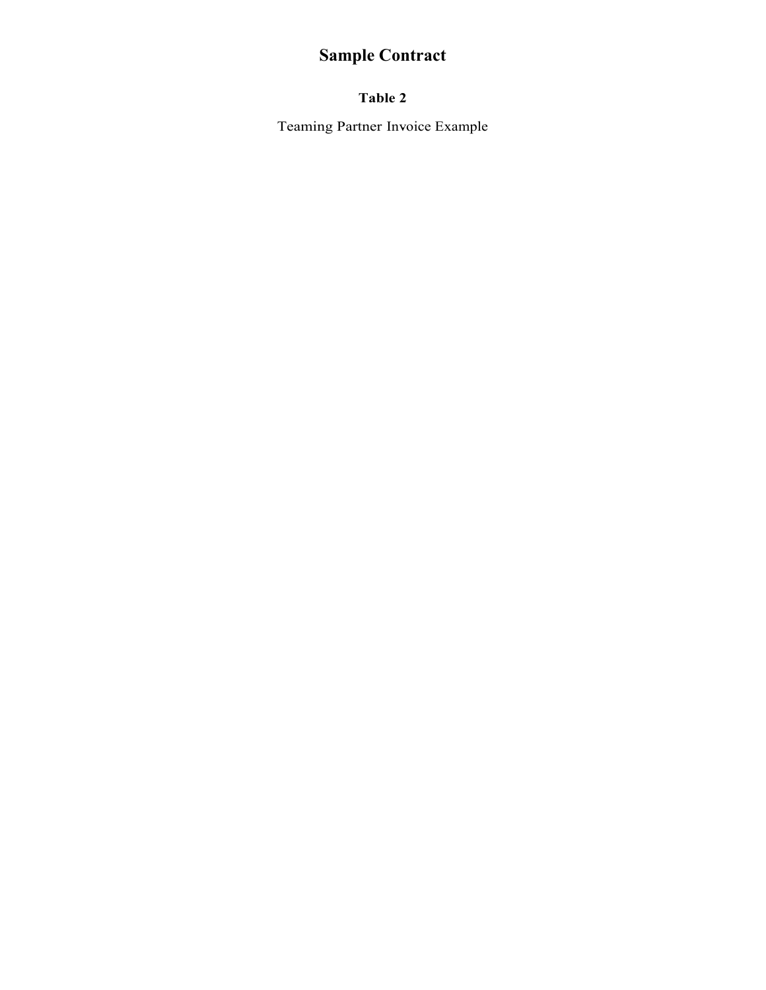### **Table 2**

Teaming Partner Invoice Example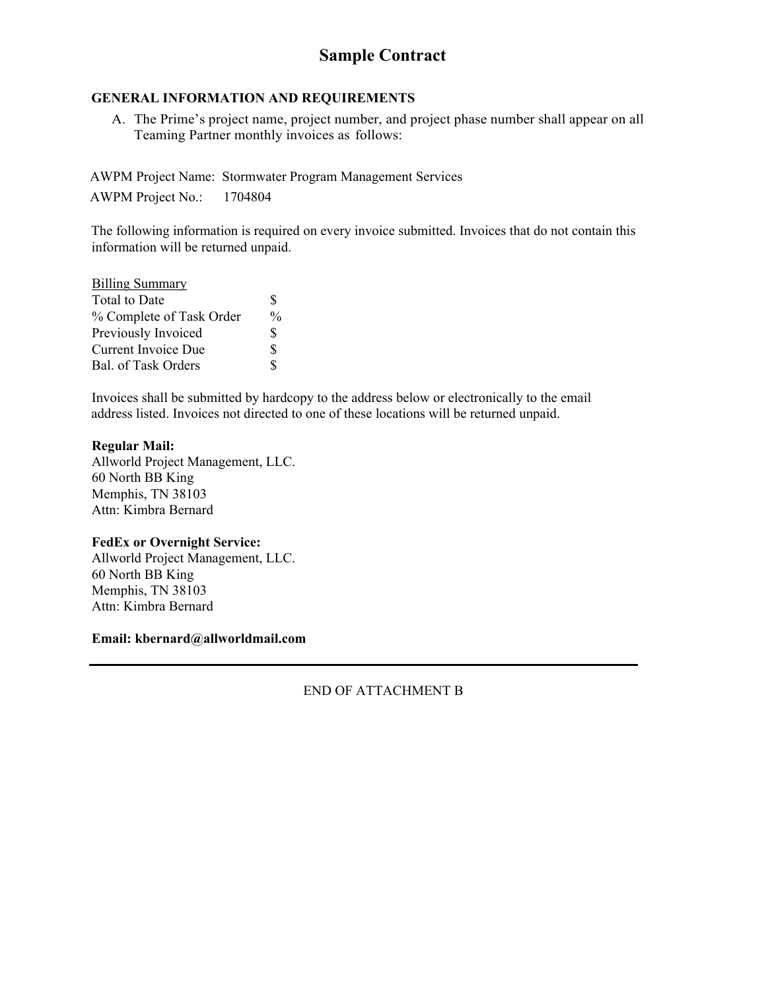#### **GENERAL INFORMATION AND REQUIREMENTS**

A. The Prime's project name, project number, and project phase number shall appear on all Teaming Partner monthly invoices as follows:

AWPM Project Name: Stormwater Program Management Services AWPM Project No.: 1704804

The following information is required on every invoice submitted. Invoices that do not contain this information will be returned unpaid.

| <b>Billing Summary</b>   |               |
|--------------------------|---------------|
| Total to Date            | \$            |
| % Complete of Task Order | $\frac{0}{0}$ |
| Previously Invoiced      | \$            |
| Current Invoice Due      | S             |
| Bal. of Task Orders      | ፍ             |

Invoices shall be submitted by hardcopy to the address below or electronically to the email address listed. Invoices not directed to one of these locations will be returned unpaid.

#### **Regular Mail:**

Allworld Project Management, LLC. 60 North BB King Memphis, TN 38103 Attn: Kimbra Bernard

#### **FedEx or Overnight Service:**

Allworld Project Management, LLC. 60 North BB King Memphis, TN 38103 Attn: Kimbra Bernard

**Email: kbernard@allworldmail.com** 

END OF ATTACHMENT B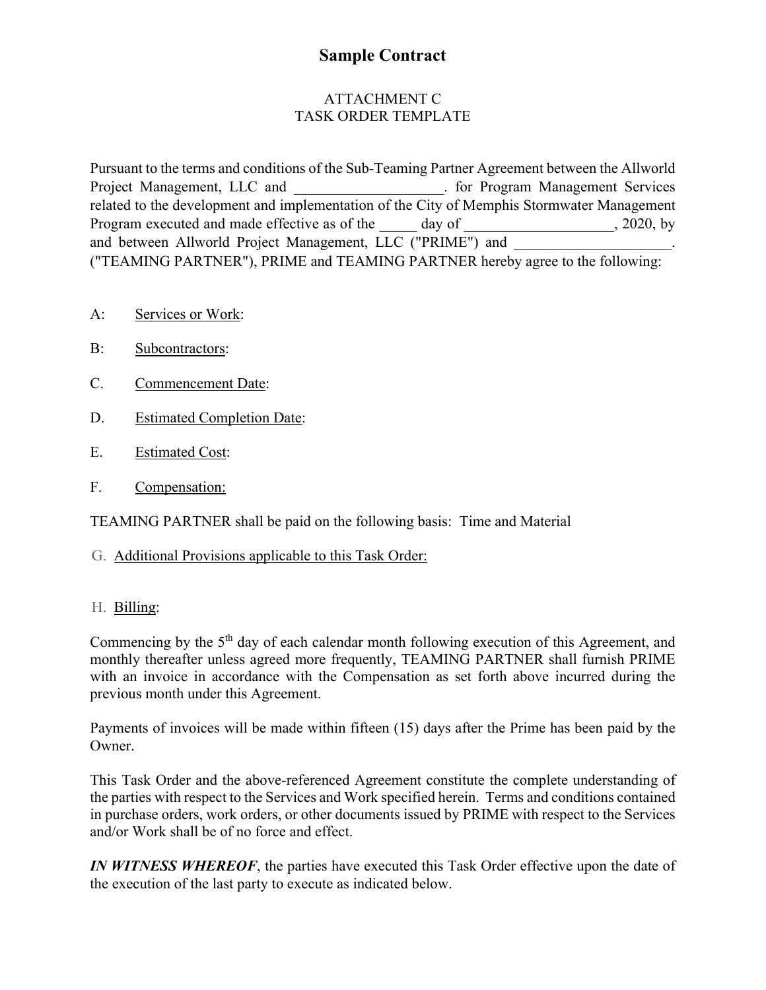### ATTACHMENT C TASK ORDER TEMPLATE

Pursuant to the terms and conditions of the Sub-Teaming Partner Agreement between the Allworld Project Management, LLC and **From Accord Accord Accord Prosect Management Services** related to the development and implementation of the City of Memphis Stormwater Management Program executed and made effective as of the day of  $\qquad \qquad$ , 2020, by and between Allworld Project Management, LLC ("PRIME") and ("TEAMING PARTNER"), PRIME and TEAMING PARTNER hereby agree to the following:

- A: Services or Work:
- B: Subcontractors:
- C. Commencement Date:
- D. Estimated Completion Date:
- E. Estimated Cost:
- F. Compensation:

TEAMING PARTNER shall be paid on the following basis: Time and Material

G. Additional Provisions applicable to this Task Order:

### H. Billing:

Commencing by the 5<sup>th</sup> day of each calendar month following execution of this Agreement, and monthly thereafter unless agreed more frequently, TEAMING PARTNER shall furnish PRIME with an invoice in accordance with the Compensation as set forth above incurred during the previous month under this Agreement.

Payments of invoices will be made within fifteen (15) days after the Prime has been paid by the Owner.

This Task Order and the above-referenced Agreement constitute the complete understanding of the parties with respect to the Services and Work specified herein. Terms and conditions contained in purchase orders, work orders, or other documents issued by PRIME with respect to the Services and/or Work shall be of no force and effect.

*IN WITNESS WHEREOF*, the parties have executed this Task Order effective upon the date of the execution of the last party to execute as indicated below.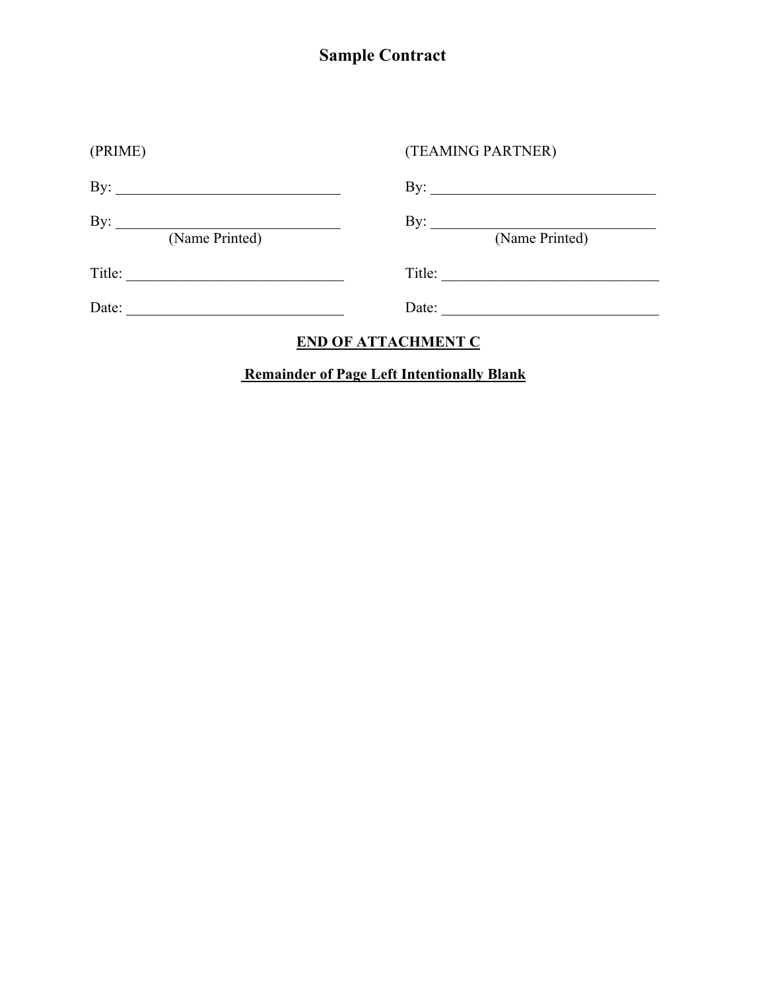| (PRIME)               | (TEAMING PARTNER)                         |
|-----------------------|-------------------------------------------|
|                       | By: $\qquad \qquad$                       |
| By:<br>(Name Printed) | By: $\frac{f(x)}{f(x)}$<br>(Name Printed) |
| Title:                | Title:                                    |
| Date:                 | Date:                                     |
|                       |                                           |

# **END OF ATTACHMENT C**

# **Remainder of Page Left Intentionally Blank**